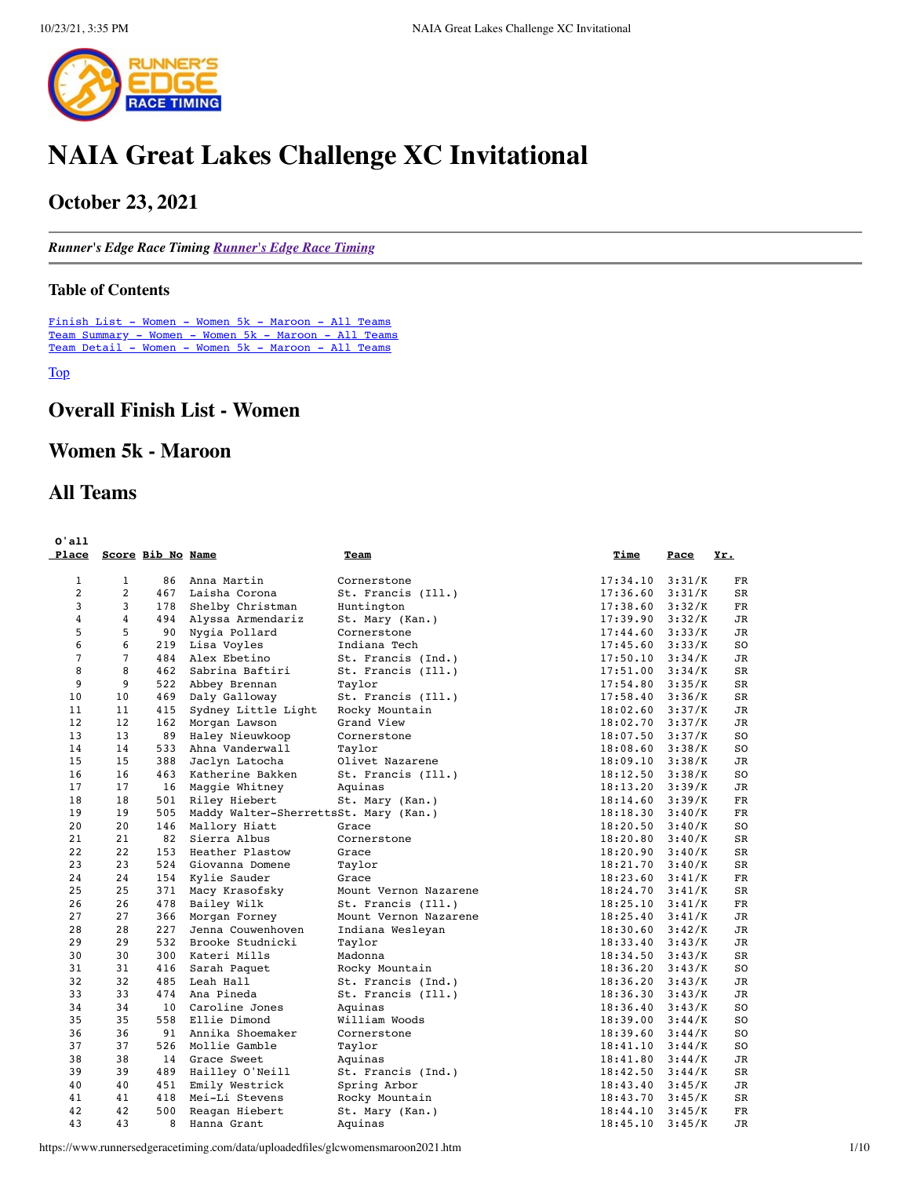

# **NAIA Great Lakes Challenge XC Invitational**

# **October 23, 2021**

*Runner's Edge Race Timing [Runner's Edge Race Timing](http://www.runnersedgeracetiming.com/)*

#### <span id="page-0-1"></span>**Table of Contents**

[Finish List - Women - Women 5k - Maroon - All Teams](#page-0-0) [Team Summary - Women - Women 5k - Maroon - All Teams](#page-3-0) [Team Detail - Women - Women 5k - Maroon - All Teams](#page-4-0)

<span id="page-0-0"></span>[Top](#page-0-1)

# **Overall Finish List - Women**

# **Women 5k - Maroon**

# **All Teams**

| 0'all<br>Place |                   | Score Bib No Name |                                       | Team                  | Time     | Pace   | Yr.            |
|----------------|-------------------|-------------------|---------------------------------------|-----------------------|----------|--------|----------------|
| $\mathbf{1}$   | $\mathbf{1}$      | 86                | Anna Martin                           | Cornerstone           | 17:34.10 | 3:31/K | FR             |
| $\overline{2}$ | $\overline{2}$    | 467               | Laisha Corona                         | St. Francis (Ill.)    | 17:36.60 | 3:31/K | SR             |
| 3              | 3                 | 178               | Shelby Christman                      | Huntington            | 17:38.60 | 3:32/K | FR             |
| 4              | 4                 | 494               | Alyssa Armendariz                     | St. Mary (Kan.)       | 17:39.90 | 3:32/K | <b>JR</b>      |
| 5              | 5                 | 90                | Nygia Pollard                         | Cornerstone           | 17:44.60 | 3:33/K | <b>JR</b>      |
| 6              | 6                 | 219               | Lisa Voyles                           | Indiana Tech          | 17:45.60 | 3:33/K | S <sub>O</sub> |
| $\overline{7}$ | $\overline{7}$    | 484               | Alex Ebetino                          | St. Francis (Ind.)    | 17:50.10 | 3:34/K | JR             |
| 8              | 8                 | 462               | Sabrina Baftiri                       | St. Francis (Ill.)    | 17:51.00 | 3:34/K | <b>SR</b>      |
| 9              | 9                 | 522               | Abbey Brennan                         | Taylor                | 17:54.80 | 3:35/K | SR             |
| 10             | 10                | 469               | Daly Galloway                         | St. Francis (Ill.)    | 17:58.40 | 3:36/K | SR             |
| 11             | 11                | 415               | Sydney Little Light                   | Rocky Mountain        | 18:02.60 | 3:37/K | JR             |
| 12             | $12 \overline{ }$ | 162               | Morgan Lawson                         | Grand View            | 18:02.70 | 3:37/K | <b>JR</b>      |
| 13             | 13                | 89                | Haley Nieuwkoop                       | Cornerstone           | 18:07.50 | 3:37/K | SO             |
| 14             | 14                | 533               | Ahna Vanderwall                       | Taylor                | 18:08.60 | 3:38/K | SO             |
| 15             | 15                | 388               | Jaclyn Latocha                        | Olivet Nazarene       | 18:09.10 | 3:38/K | JR             |
| 16             | 16                | 463               | Katherine Bakken                      | St. Francis (Ill.)    | 18:12.50 | 3:38/K | S <sub>O</sub> |
| 17             | 17                | 16                | Maggie Whitney                        | Aquinas               | 18:13.20 | 3:39/K | JR             |
| 18             | 18                | 501               | Riley Hiebert                         | St. Mary (Kan.)       | 18:14.60 | 3:39/K | FR             |
| 19             | 19                | 505               | Maddy Walter-SherrettsSt. Mary (Kan.) |                       | 18:18.30 | 3:40/K | <b>FR</b>      |
| 20             | 20                | 146               | Mallory Hiatt                         | Grace                 | 18:20.50 | 3:40/K | S <sub>O</sub> |
| 21             | 21                | 82                | Sierra Albus                          | Cornerstone           | 18:20.80 | 3:40/K | SR             |
| 22             | 22                | 153               | Heather Plastow                       | Grace                 | 18:20.90 | 3:40/K | <b>SR</b>      |
| 23             | 23                | 524               | Giovanna Domene                       | Taylor                | 18:21.70 | 3:40/K | SR             |
| 24             | 24                | 154               | Kylie Sauder                          | Grace                 | 18:23.60 | 3:41/K | <b>FR</b>      |
| 25             | 25                | 371               | Macy Krasofsky                        | Mount Vernon Nazarene | 18:24.70 | 3:41/K | <b>SR</b>      |
| 26             | 26                | 478               | Bailey Wilk                           | St. Francis (Ill.)    | 18:25.10 | 3:41/K | FR             |
| 27             | 27                | 366               | Morgan Forney                         | Mount Vernon Nazarene | 18:25.40 | 3:41/K | JR             |
| 28             | 28                | 227               | Jenna Couwenhoven                     | Indiana Wesleyan      | 18:30.60 | 3:42/K | JR             |
| 29             | 29                | 532               | Brooke Studnicki                      | Taylor                | 18:33.40 | 3:43/K | JR             |
| 30             | 30                | 300               | Kateri Mills                          | Madonna               | 18:34.50 | 3:43/K | <b>SR</b>      |
| 31             | 31                | 416               | Sarah Paquet                          | Rocky Mountain        | 18:36.20 | 3:43/K | SO             |
| 32             | 32                | 485               | Leah Hall                             | St. Francis (Ind.)    | 18:36.20 | 3:43/K | JR             |
| 33             | 33                | 474               | Ana Pineda                            | St. Francis (Ill.)    | 18:36.30 | 3:43/K | JR             |
| 34             | 34                | 10                | Caroline Jones                        | Aquinas               | 18:36.40 | 3:43/K | S <sub>O</sub> |
| 35             | 35                | 558               | Ellie Dimond                          | William Woods         | 18:39.00 | 3:44/K | SO             |
| 36             | 36                | 91                | Annika Shoemaker                      | Cornerstone           | 18:39.60 | 3:44/K | SO             |
| 37             | 37                | 526               | Mollie Gamble                         | Taylor                | 18:41.10 | 3:44/K | SO             |
| 38             | 38                | 14                | Grace Sweet                           | Aquinas               | 18:41.80 | 3:44/K | <b>JR</b>      |
| 39             | 39                | 489               | Hailley O'Neill                       | St. Francis (Ind.)    | 18:42.50 | 3:44/K | SR             |
| 40             | 40                | 451               | Emily Westrick                        | Spring Arbor          | 18:43.40 | 3:45/K | JR             |
| 41             | 41                | 418               | Mei-Li Stevens                        | Rocky Mountain        | 18:43.70 | 3:45/K | <b>SR</b>      |
| 42             | 42                | 500               | Reagan Hiebert                        | St. Mary (Kan.)       | 18:44.10 | 3:45/K | ${\rm FR}$     |
| 43             | 43                | 8                 | Hanna Grant                           | Aquinas               | 18:45.10 | 3:45/K | JR             |

https://www.runnersedgeracetiming.com/data/uploadedfiles/glcwomensmaroon2021.htm 1/10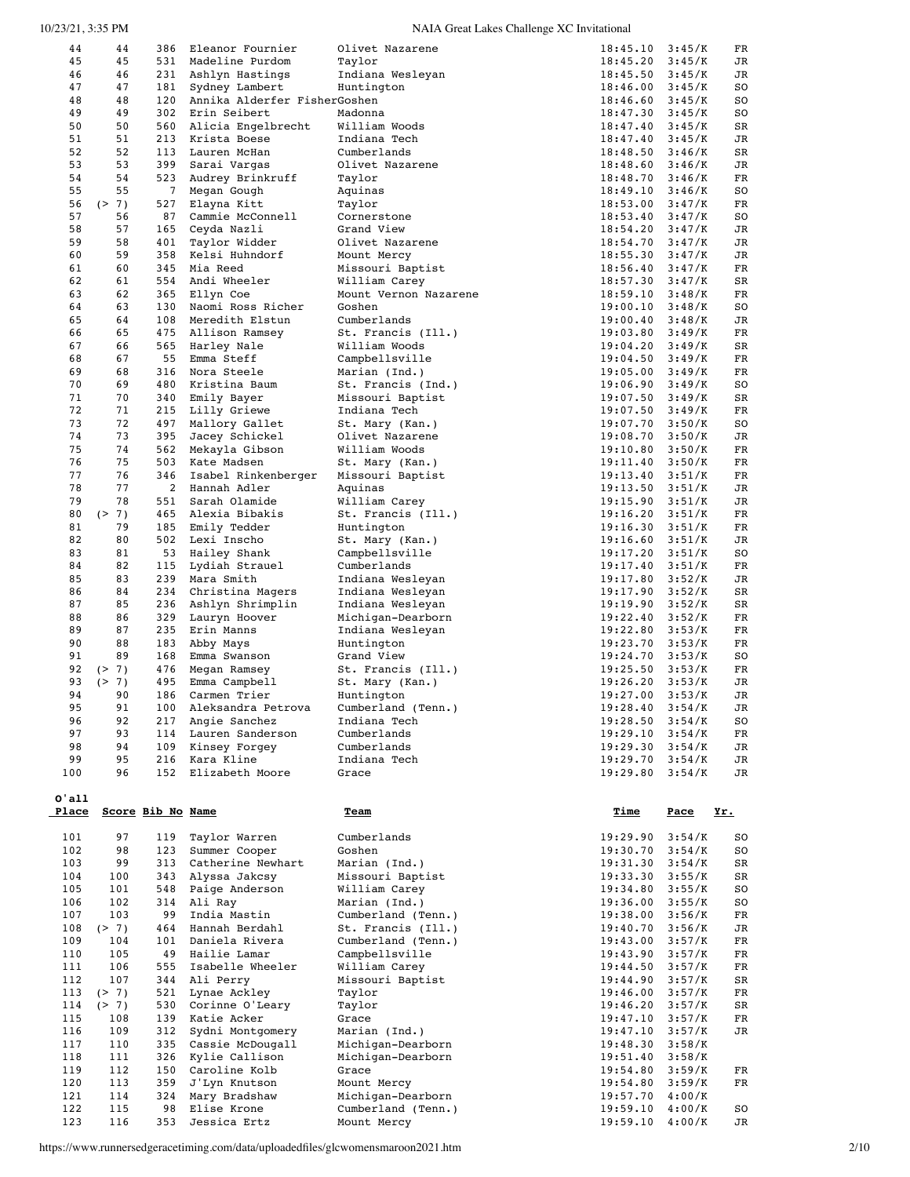| 44         | 44         | 386               | Eleanor Fournier             | Olivet Nazarene                   | 18:45.10             | 3:45/K           | FR          |
|------------|------------|-------------------|------------------------------|-----------------------------------|----------------------|------------------|-------------|
| 45         | 45         | 531               | Madeline Purdom              | Taylor                            | 18:45.20             | 3:45/K           | JR          |
| 46         | 46         | 231               | Ashlyn Hastings              | Indiana Wesleyan                  | 18:45.50             | 3:45/K           | JR          |
| 47         | 47         | 181               | Sydney Lambert               | Huntington                        | 18:46.00             | 3:45/K           | SO          |
| 48         | 48         | 120               | Annika Alderfer FisherGoshen |                                   | 18:46.60             | 3:45/K           | SO          |
| 49         | 49         | 302               | Erin Seibert                 | Madonna                           | 18:47.30             | 3:45/K           | SO          |
| 50         | 50         | 560               | Alicia Engelbrecht           | William Woods                     | 18:47.40             | 3:45/K           | SR          |
| 51         | 51         | 213               | Krista Boese                 | Indiana Tech                      | 18:47.40             | 3:45/K           | JR          |
| 52         | 52         | 113               | Lauren McHan                 | Cumberlands                       | 18:48.50             | 3:46/K           | SR          |
| 53         | 53         | 399               | Sarai Vargas                 | Olivet Nazarene                   | 18:48.60             | 3:46/K           | JR          |
| 54         | 54         | 523               | Audrey Brinkruff             | Taylor                            | 18:48.70             | 3:46/K           | FR          |
| 55         | 55         | $7\phantom{.0}$   | Megan Gough                  | Aquinas                           | 18:49.10             | 3:46/K           | SO          |
| 56         | (2 7)      | 527               | Elayna Kitt                  | Taylor                            | 18:53.00             | 3:47/K           | FR          |
| 57         | 56         | 87                | Cammie McConnell             | Cornerstone                       | 18:53.40             | 3:47/K           | SO          |
| 58         | 57         | 165               | Ceyda Nazli                  | Grand View                        | 18:54.20             | 3:47/K           | JR          |
| 59         | 58         | 401               | Taylor Widder                | Olivet Nazarene                   | 18:54.70             | 3:47/K           | JR          |
| 60         | 59         | 358               | Kelsi Huhndorf               |                                   |                      |                  |             |
|            |            |                   |                              | Mount Mercy                       | 18:55.30             | 3:47/K           | JR          |
| 61         | 60         | 345               | Mia Reed                     | Missouri Baptist                  | 18:56.40             | 3:47/K           | FR          |
| 62         | 61         | 554               | Andi Wheeler                 | William Carey                     | 18:57.30             | 3:47/K           | SR          |
| 63         | 62         | 365               | Ellyn Coe                    | Mount Vernon Nazarene             | 18:59.10             | 3:48/K           | FR          |
| 64         | 63         | 130               | Naomi Ross Richer            | Goshen                            | 19:00.10             | 3:48/K           | SO          |
| 65         | 64         | 108               | Meredith Elstun              | Cumberlands                       | 19:00.40             | 3:48/K           | JR          |
| 66         | 65         | 475               | Allison Ramsey               | St. Francis (Ill.)                | 19:03.80             | 3:49/K           | FR          |
| 67         | 66         | 565               | Harley Nale                  | William Woods                     | 19:04.20             | 3:49/K           | SR          |
| 68         | 67         | 55                | Emma Steff                   | Campbellsville                    | 19:04.50             | 3:49/K           | FR          |
| 69         | 68         | 316               | Nora Steele                  | Marian (Ind.)                     | 19:05.00             | 3:49/K           | FR          |
| 70         | 69         | 480               | Kristina Baum                | St. Francis (Ind.)                | 19:06.90             | 3:49/K           | SO          |
| 71         | 70         | 340               | Emily Bayer                  | Missouri Baptist                  | 19:07.50             | 3:49/K           | SR          |
| 72         | 71         | 215               | Lilly Griewe                 | Indiana Tech                      | 19:07.50             | 3:49/K           | FR          |
| 73         | 72         | 497               | Mallory Gallet               | St. Mary (Kan.)                   | 19:07.70             | 3:50/K           | SO          |
| 74         | 73         | 395               | Jacey Schickel               | Olivet Nazarene                   | 19:08.70             | 3:50/K           | JR          |
| 75         | 74         | 562               | Mekayla Gibson               | William Woods                     | 19:10.80             | 3:50/K           | FR          |
| 76         | 75         | 503               | Kate Madsen                  | St. Mary (Kan.)                   | 19:11.40             | 3:50/K           | FR          |
| 77         | 76         | 346               | Isabel Rinkenberger          | Missouri Baptist                  | 19:13.40             | 3:51/K           | FR          |
| 78         | 77         | 2                 | Hannah Adler                 | Aquinas                           | 19:13.50             | 3:51/K           | JR          |
| 79         | 78         | 551               | Sarah Olamide                | William Carey                     | 19:15.90             | 3:51/K           | JR          |
| 80         | (2 7)      | 465               | Alexia Bibakis               | St. Francis (Ill.)                | 19:16.20             | 3:51/K           | FR          |
| 81         | 79         | 185               | Emily Tedder                 | Huntington                        | 19:16.30             | 3:51/K           | FR          |
| 82         | 80         | 502               | Lexi Inscho                  | St. Mary (Kan.)                   | 19:16.60             | 3:51/K           | JR          |
| 83         | 81         | 53                | Hailey Shank                 | Campbellsville                    | 19:17.20             | 3:51/K           | SO          |
| 84         | 82         | 115               | Lydiah Strauel               |                                   |                      |                  |             |
| 85         |            | 239               |                              | Cumberlands                       | 19:17.40             | 3:51/K           | FR          |
| 86         | 83<br>84   |                   | Mara Smith                   | Indiana Wesleyan                  | 19:17.80             | 3:52/K           | JR          |
|            |            | 234               | Christina Magers             | Indiana Wesleyan                  | 19:17.90             | 3:52/K           | SR          |
|            |            |                   |                              |                                   |                      |                  |             |
| 87         | 85         | 236               | Ashlyn Shrimplin             | Indiana Wesleyan                  | 19:19.90             | 3:52/K           | SR          |
| 88         | 86         | 329               | Lauryn Hoover                | Michigan-Dearborn                 | 19:22.40             | 3:52/K           | FR          |
| 89         | 87         | 235               | Erin Manns                   | Indiana Wesleyan                  | 19:22.80             | 3:53/K           | FR          |
| 90         | 88         | 183               | Abby Mays                    | Huntington                        | 19:23.70             | 3:53/K           | FR          |
| 91         | 89         | 168               | Emma Swanson                 | Grand View                        | 19:24.70             | 3:53/K           | SO          |
| 92         | (2 7)      | 476               | Megan Ramsey                 | St. Francis (Ill.)                | 19:25.50             | 3:53/K           | FR          |
| 93         | (2 7)      | 495               | Emma Campbell                | St. Mary (Kan.)                   | 19:26.20             | 3:53/K           | JR          |
| 94         | 90         | 186               | Carmen Trier                 | Huntington                        | 19:27.00             | 3:53/K           | JR          |
| 95         | 91         |                   | 100 Aleksandra Petrova       | Cumberland (Tenn.)                | 19:28.40             | 3:54/K           | JR          |
| 96         | 92         | 217               | Angie Sanchez                | Indiana Tech                      | 19:28.50             | 3:54/K           | SO          |
| 97         | 93         |                   | 114 Lauren Sanderson         | Cumberlands                       | 19:29.10             | 3:54/K           | FR          |
| 98         | 94         | 109               | Kinsey Forgey                | Cumberlands                       | 19:29.30             | 3:54/K           | JR          |
| 99         | 95         | 216               | Kara Kline                   | Indiana Tech                      | 19:29.70             | 3:54/K           | JR          |
| 100        | 96         | 152               | Elizabeth Moore              | Grace                             | 19:29.80             | 3:54/K           | JR          |
|            |            |                   |                              |                                   |                      |                  |             |
| $0'$ all   |            |                   |                              |                                   |                      |                  |             |
| Place      |            | Score Bib No Name |                              | Team                              | <u>Time</u>          | <u>Pace</u>      | Yr.         |
|            |            |                   |                              |                                   |                      |                  |             |
| 101        | 97         | 119               | Taylor Warren                | Cumberlands                       | 19:29.90             | 3:54/K           | so          |
| 102        | 98         | 123               | Summer Cooper                | Goshen                            | 19:30.70             | 3:54/K           | SO          |
| 103        | 99         | 313               | Catherine Newhart            | Marian (Ind.)                     | 19:31.30             | 3:54/K           | SR          |
| 104        | 100        | 343               | Alyssa Jakcsy                | Missouri Baptist                  |                      | 3:55/K           |             |
|            |            |                   | Paige Anderson               | William Carey                     | 19:33.30             |                  | SR          |
| 105        | 101        | 548               |                              |                                   | 19:34.80             | 3:55/K           | SO          |
| 106        | 102        | 314               | Ali Ray                      | Marian (Ind.)                     | 19:36.00             | 3:55/K           | so          |
| 107        | 103        | 99                | India Mastin                 | Cumberland (Tenn.)                | 19:38.00             | 3:56/K           | FR          |
| 108        | (2 7)      | 464               | Hannah Berdahl               | St. Francis (Ill.)                | 19:40.70             | 3:56/K           | JR          |
| 109        | 104        | 101               | Daniela Rivera               | Cumberland (Tenn.)                | 19:43.00             | 3:57/K           | FR          |
| 110        | 105        | 49                | Hailie Lamar                 | Campbellsville                    | 19:43.90             | 3:57/K           | FR          |
| 111        | 106        | 555               | Isabelle Wheeler             | William Carey                     | 19:44.50             | 3:57/K           | FR          |
| 112        | 107        | 344               | Ali Perry                    | Missouri Baptist                  | 19:44.90             | 3:57/K           | $_{\rm SR}$ |
| 113        | (2 7)      | 521               | Lynae Ackley                 | Taylor                            | 19:46.00             | 3:57/K           | FR          |
| 114        | (2 7)      | 530               | Corinne O'Leary              | Taylor                            | 19:46.20             | 3:57/K           | SR          |
| 115        | 108        | 139               | Katie Acker                  | Grace                             | 19:47.10             | 3:57/K           | FR          |
| 116        | 109        | 312               | Sydni Montgomery             | Marian (Ind.)                     | 19:47.10             | 3:57/K           | JR          |
| 117        | 110        | 335               | Cassie McDougall             | Michigan-Dearborn                 | 19:48.30             | 3:58/K           |             |
| 118        | 111        | 326               | Kylie Callison               | Michigan-Dearborn                 | 19:51.40             | 3:58/K           |             |
| 119        | 112        | 150               | Caroline Kolb                | Grace                             | 19:54.80             | 3:59/K           | FR          |
| 120        | 113        | 359               | J'Lyn Knutson                | Mount Mercy                       | 19:54.80             | 3:59/K           | FR          |
| 121        | 114        | 324               | Mary Bradshaw                | Michigan-Dearborn                 | 19:57.70             | 4:00/K           |             |
| 122<br>123 | 115<br>116 | 98<br>353         | Elise Krone<br>Jessica Ertz  | Cumberland (Tenn.)<br>Mount Mercy | 19:59.10<br>19:59.10 | 4:00/K<br>4:00/K | so<br>JR    |

https://www.runnersedgeracetiming.com/data/uploadedfiles/glcwomensmaroon2021.htm 2/10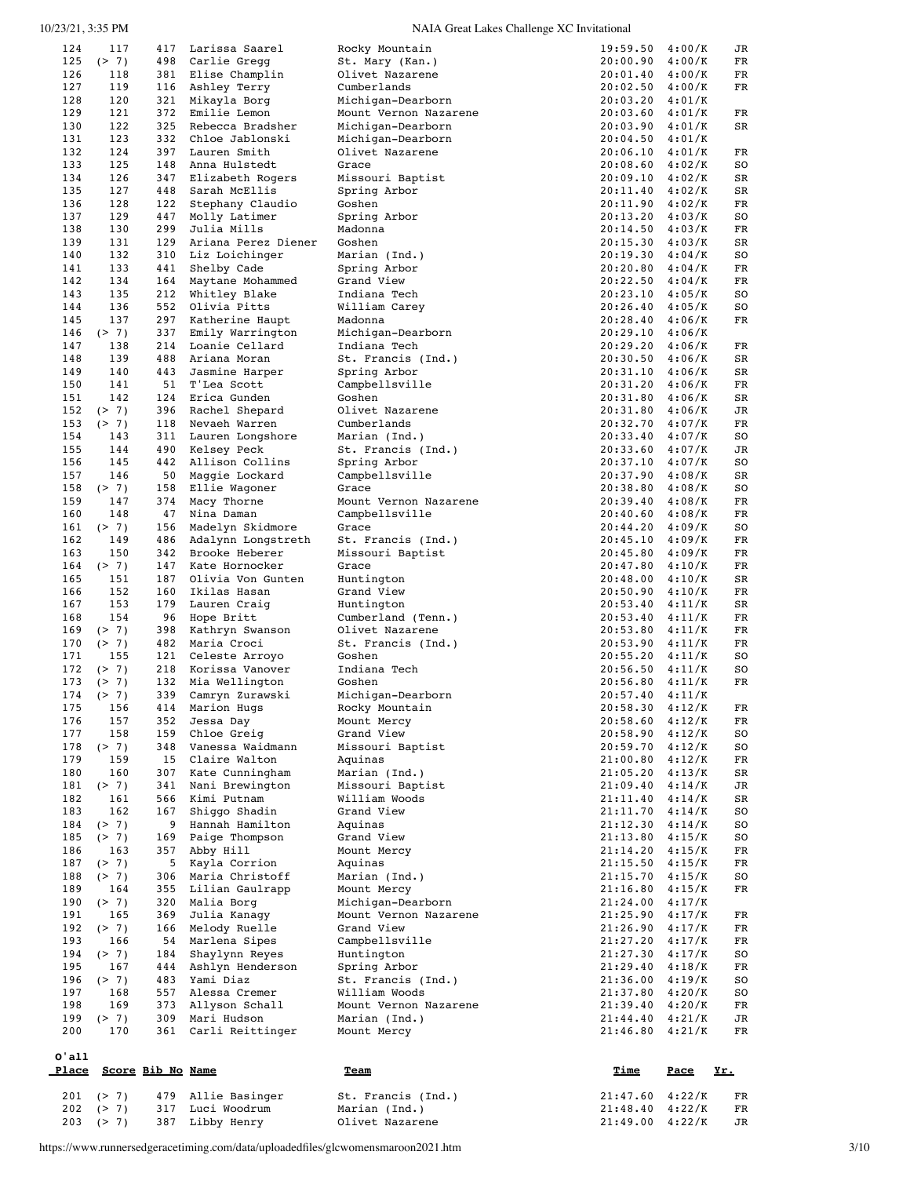|            | 117            | 417                      | Larissa Saarel                     | Rocky Mountain                             | 19:59.50             | 4:00/K           | JR         |
|------------|----------------|--------------------------|------------------------------------|--------------------------------------------|----------------------|------------------|------------|
| 125        | (2 7)          | 498                      | Carlie Gregg                       | St. Mary (Kan.)                            | 20:00.90             | 4:00/K           | FR         |
| 126        | 118            | 381                      | Elise Champlin                     | Olivet Nazarene                            | 20:01.40             | 4:00/K           | FR         |
| 127        | 119            | 116                      | Ashley Terry                       | Cumberlands                                | 20:02.50             | 4:00/K           | FR         |
| 128<br>129 | 120<br>121     | 321<br>372               | Mikayla Borg<br>Emilie Lemon       | Michigan-Dearborn<br>Mount Vernon Nazarene | 20:03.20<br>20:03.60 | 4:01/K<br>4:01/K | FR         |
| 130        | 122            | 325                      | Rebecca Bradsher                   | Michigan-Dearborn                          | 20:03.90             | 4:01/K           | SR         |
| 131        | 123            | 332                      | Chloe Jablonski                    | Michigan-Dearborn                          | 20:04.50             | 4:01/K           |            |
| 132        | 124            | 397                      | Lauren Smith                       | Olivet Nazarene                            | 20:06.10             | 4:01/K           | FR         |
| 133        | 125            | 148                      | Anna Hulstedt                      | Grace                                      | 20:08.60             | 4:02/K           | SO         |
| 134        | 126            | 347                      | Elizabeth Rogers                   | Missouri Baptist                           | 20:09.10             | 4:02/K           | SR         |
| 135        | 127            | 448                      | Sarah McEllis                      | Spring Arbor                               | 20:11.40             | 4:02/K           | SR         |
| 136        | 128            | 122                      | Stephany Claudio                   | Goshen                                     | 20:11.90             | 4:02/K           | FR         |
| 137        | 129            | 447                      | Molly Latimer                      | Spring Arbor                               | 20:13.20             | 4:03/K           | SO         |
| 138<br>139 | 130<br>131     | 299<br>129               | Julia Mills<br>Ariana Perez Diener | Madonna<br>Goshen                          | 20:14.50<br>20:15.30 | 4:03/K<br>4:03/K | FR<br>SR   |
| 140        | 132            | 310                      | Liz Loichinger                     | Marian (Ind.)                              | 20:19.30             | 4:04/K           | SO         |
| 141        | 133            | 441                      | Shelby Cade                        | Spring Arbor                               | 20:20.80             | 4:04/K           | FR         |
| 142        | 134            | 164                      | Maytane Mohammed                   | Grand View                                 | 20:22.50             | 4:04/K           | FR         |
| 143        | 135            | 212                      | Whitley Blake                      | Indiana Tech                               | 20:23.10             | 4:05/K           | SO         |
| 144        | 136            | 552                      | Olivia Pitts                       | William Carey                              | 20:26.40             | 4:05/K           | SO         |
| 145        | 137            | 297                      | Katherine Haupt                    | Madonna                                    | 20:28.40             | 4:06/K           | FR         |
| 146        | (2 7)          | 337                      | Emily Warrington                   | Michigan-Dearborn                          | 20:29.10             | 4:06/K           |            |
| 147        | 138            | 214                      | Loanie Cellard                     | Indiana Tech                               | 20:29.20             | 4:06/K           | FR         |
| 148<br>149 | 139<br>140     | 488<br>443               | Ariana Moran                       | St. Francis (Ind.)                         | 20:30.50<br>20:31.10 | 4:06/K<br>4:06/K | SR<br>SR   |
| 150        | 141            | 51                       | Jasmine Harper<br>T'Lea Scott      | Spring Arbor<br>Campbellsville             | 20:31.20             | 4:06/K           | FR         |
| 151        | 142            | 124                      | Erica Gunden                       | Goshen                                     | 20:31.80             | 4:06/K           | SR         |
| 152        | (2 7)          | 396                      | Rachel Shepard                     | Olivet Nazarene                            | 20:31.80             | 4:06/K           | JR         |
| 153        | (2 7)          | 118                      | Nevaeh Warren                      | Cumberlands                                | 20:32.70             | 4:07/K           | FR         |
| 154        | 143            | 311                      | Lauren Longshore                   | Marian (Ind.)                              | 20:33.40             | 4:07/K           | SO         |
| 155        | 144            | 490                      | Kelsey Peck                        | St. Francis (Ind.)                         | 20:33.60             | 4:07/K           | JR         |
| 156        | 145            | 442                      | Allison Collins                    | Spring Arbor                               | 20:37.10             | 4:07/K           | SO         |
| 157        | 146            | 50                       | Maggie Lockard                     | Campbellsville                             | 20:37.90             | 4:08/K           | SR         |
| 158        | (2 7)          | 158                      | Ellie Wagoner                      | Grace                                      | 20:38.80             | 4:08/K           | SO         |
| 159<br>160 | 147<br>148     | 374<br>47                | Macy Thorne<br>Nina Daman          | Mount Vernon Nazarene<br>Campbellsville    | 20:39.40<br>20:40.60 | 4:08/K<br>4:08/K | FR<br>FR   |
| 161        | (2 7)          | 156                      | Madelyn Skidmore                   | Grace                                      | 20:44.20             | 4:09/K           | SO         |
| 162        | 149            | 486                      | Adalynn Longstreth                 | St. Francis (Ind.)                         | 20:45.10             | 4:09/K           | FR         |
| 163        | 150            | 342                      | Brooke Heberer                     | Missouri Baptist                           | 20:45.80             | 4:09/K           | FR         |
| 164        | (2 7)          | 147                      | Kate Hornocker                     | Grace                                      | 20:47.80             | 4:10/K           | FR         |
| 165        | 151            | 187                      | Olivia Von Gunten                  | Huntington                                 | 20:48.00             | 4:10/K           | SR         |
| 166        | 152            | 160                      | Ikilas Hasan                       | Grand View                                 | 20:50.90             | 4:10/K           | FR         |
| 167        | 153            | 179                      | Lauren Craig                       | Huntington                                 | 20:53.40             | 4:11/K           | SR         |
| 168        | 154            | 96                       | Hope Britt                         | Cumberland (Tenn.)                         | 20:53.40             | 4:11/K           | FR         |
|            |                |                          |                                    |                                            |                      |                  |            |
| 169        | (2 7)          | 398                      | Kathryn Swanson                    | Olivet Nazarene                            | 20:53.80             | 4:11/K           | FR         |
| 170        | (2 7)          | 482                      | Maria Croci                        | St. Francis (Ind.)                         | 20:53.90             | 4:11/K           | FR         |
| 171        | 155            | 121                      | Celeste Arroyo<br>Korissa Vanover  | Goshen                                     | 20:55.20<br>20:56.50 | 4:11/K           | SO         |
| 172<br>173 | (2 7)<br>(2 7) | 218<br>132               | Mia Wellington                     | Indiana Tech<br>Goshen                     | 20:56.80             | 4:11/K<br>4:11/K | SO<br>FR   |
| 174        | ( > 7)         | 339                      | Camryn Zurawski                    | Michigan-Dearborn                          | 20:57.40             | 4:11/K           |            |
| 175        | 156            |                          | 414 Marion Hugs                    | Rocky Mountain                             | $20:58.30$ $4:12/K$  |                  | FR         |
| 176        | 157            |                          | 352 Jessa Day                      | Mount Mercy                                | 20:58.60             | 4:12/K           | FR         |
| 177        | 158            | 159                      | Chloe Greig                        | Grand View                                 | 20:58.90             | 4:12/K           | so         |
| 178        | (2 7)          | 348                      | Vanessa Waidmann                   | Missouri Baptist                           | 20:59.70             | 4:12/K           | SO         |
| 179        | 159            | 15                       | Claire Walton                      | Aquinas                                    | 21:00.80             | 4:12/K           | FR         |
| 180        | 160            | 307<br>341               | Kate Cunningham                    | Marian (Ind.)<br>Missouri Baptist          | 21:05.20             | 4:13/K           | SR         |
| 181<br>182 | (2 7)<br>161   | 566                      | Nani Brewington<br>Kimi Putnam     | William Woods                              | 21:09.40<br>21:11.40 | 4:14/K<br>4:14/K | JR<br>SR   |
| 183        | 162            | 167                      | Shiggo Shadin                      | Grand View                                 | 21:11.70             | 4:14/K           | SO         |
| 184        | (2 7)          | 9                        | Hannah Hamilton                    | Aquinas                                    | 21:12.30             | 4:14/K           | SO         |
| 185        | (2 7)          | 169                      | Paige Thompson                     | Grand View                                 | 21:13.80             | 4:15/K           | SO         |
| 186        | 163            | 357                      | Abby Hill                          | Mount Mercy                                | 21:14.20             | 4:15/K           | FR         |
| 187        | (2 7)          | 5                        | Kayla Corrion                      | Aquinas                                    | 21:15.50             | 4:15/K           | FR         |
| 188        | (2 7)          | 306                      | Maria Christoff                    | Marian (Ind.)                              | 21:15.70             | 4:15/K           | so         |
| 189        | 164            | 355                      | Lilian Gaulrapp                    | Mount Mercy                                | 21:16.80             | 4:15/K           | FR         |
| 190<br>191 | (2 7)<br>165   | 320<br>369               | Malia Borg<br>Julia Kanagy         | Michigan-Dearborn<br>Mount Vernon Nazarene | 21:24.00<br>21:25.90 | 4:17/K<br>4:17/K | FR         |
| 192        | (2 7)          | 166                      | Melody Ruelle                      | Grand View                                 | 21:26.90             | 4:17/K           | FR         |
| 193        | 166            | 54                       | Marlena Sipes                      | Campbellsville                             | 21:27.20             | 4:17/K           | FR         |
| 194        | (2 7)          | 184                      | Shaylynn Reyes                     | Huntington                                 | 21:27.30             | 4:17/K           | SO         |
| 195        | 167            | 444                      | Ashlyn Henderson                   | Spring Arbor                               | 21:29.40             | 4:18/K           | FR         |
| 196        | (2 7)          | 483                      | Yami Diaz                          | St. Francis (Ind.)                         | 21:36.00             | 4:19/K           | SO         |
| 197        | 168            | 557                      | Alessa Cremer                      | William Woods                              | 21:37.80             | 4:20/K           | so         |
| 198        | 169            | 373                      | Allyson Schall                     | Mount Vernon Nazarene                      | 21:39.40             | 4:20/K           | FR         |
| 199<br>200 | (2 7)<br>170   | 309<br>361               | Mari Hudson<br>Carli Reittinger    | Marian (Ind.)<br>Mount Mercy               | 21:44.40<br>21:46.80 | 4:21/K<br>4:21/K | JR<br>FR   |
|            |                |                          |                                    |                                            |                      |                  |            |
| 0'all      |                |                          |                                    |                                            |                      |                  |            |
| Place      |                | <b>Score Bib No Name</b> |                                    | <u>Team</u>                                | <u>Time</u>          | <u>Pace</u>      | <u>Yr.</u> |
|            |                |                          |                                    |                                            |                      |                  |            |
| 201<br>202 | (> 7)<br>(2 7) | 479<br>317               | Allie Basinger<br>Luci Woodrum     | St. Francis (Ind.)<br>Marian (Ind.)        | 21:47.60<br>21:48.40 | 4:22/K<br>4:22/K | FR<br>FR   |

https://www.runnersedgeracetiming.com/data/uploadedfiles/glcwomensmaroon2021.htm 3/10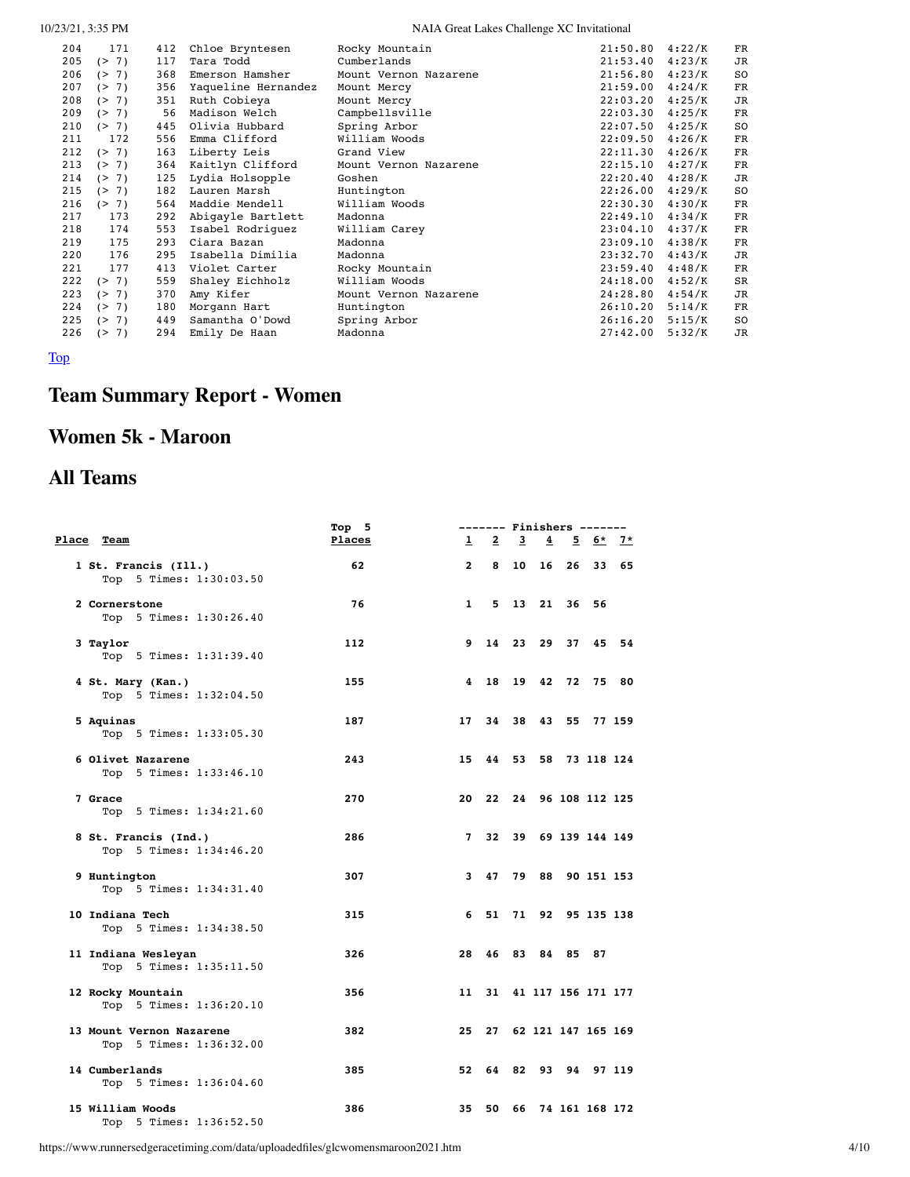| 0/23/21, 3:35 PM |  |
|------------------|--|
|------------------|--|

| 204 | 171                        | 412 | Chloe Bryntesen     | Rocky Mountain        | 21:50.80 | 4:22/K | FR          |
|-----|----------------------------|-----|---------------------|-----------------------|----------|--------|-------------|
| 205 | (2 7)                      | 117 | Tara Todd           | Cumberlands           | 21:53.40 | 4:23/K | JR          |
| 206 | (2 7)                      | 368 | Emerson Hamsher     | Mount Vernon Nazarene | 21:56.80 | 4:23/K | SO          |
| 207 | <b>7)</b><br>(             | 356 | Yaqueline Hernandez | Mount Mercy           | 21:59.00 | 4:24/K | <b>FR</b>   |
| 208 | (> 7)                      | 351 | Ruth Cobieya        | Mount Mercy           | 22:03.20 | 4:25/K | JR          |
| 209 | 7)<br>(                    | 56  | Madison Welch       | Campbellsville        | 22:03.30 | 4:25/K | $_{\rm FR}$ |
| 210 | (2 7)                      | 445 | Olivia Hubbard      | Spring Arbor          | 22:07.50 | 4:25/K | SO          |
| 211 | 172                        | 556 | Emma Clifford       | William Woods         | 22:09.50 | 4:26/K | FR          |
| 212 | (> 7)                      | 163 | Liberty Leis        | Grand View            | 22:11.30 | 4:26/K | <b>FR</b>   |
| 213 | (2 7)                      | 364 | Kaitlyn Clifford    | Mount Vernon Nazarene | 22:15.10 | 4:27/K | $_{\rm FR}$ |
| 214 | 7)<br>$\rightarrow$        | 125 | Lydia Holsopple     | Goshen                | 22:20.40 | 4:28/K | JR          |
| 215 | 7)<br>(                    | 182 | Lauren Marsh        | Huntington            | 22:26.00 | 4:29/K | SO          |
| 216 | (2 7)                      | 564 | Maddie Mendell      | William Woods         | 22:30.30 | 4:30/K | FR          |
| 217 | 173                        | 292 | Abigayle Bartlett   | Madonna               | 22:49.10 | 4:34/K | <b>FR</b>   |
| 218 | 174                        | 553 | Isabel Rodriguez    | William Carey         | 23:04.10 | 4:37/K | $_{\rm FR}$ |
| 219 | 175                        | 293 | Ciara Bazan         | Madonna               | 23:09.10 | 4:38/K | $_{\rm FR}$ |
| 220 | 176                        | 295 | Isabella Dimilia    | Madonna               | 23:32.70 | 4:43/K | JR          |
| 221 | 177                        | 413 | Violet Carter       | Rocky Mountain        | 23:59.40 | 4:48/K | FR          |
| 222 | (> 7)                      | 559 | Shaley Eichholz     | William Woods         | 24:18.00 | 4:52/K | <b>SR</b>   |
| 223 | (2 7)                      | 370 | Amy Kifer           | Mount Vernon Nazarene | 24:28.80 | 4:54/K | JR          |
| 224 | 7)<br>$\rightarrow$        | 180 | Morgann Hart        | Huntington            | 26:10.20 | 5:14/K | $_{\rm FR}$ |
| 225 | 7)<br>$\rightarrow$        | 449 | Samantha O'Dowd     | Spring Arbor          | 26:16.20 | 5:15/K | SO          |
| 226 | <b>7)</b><br>$\rightarrow$ | 294 | Emily De Haan       | Madonna               | 27:42.00 | 5:32/K | <b>JR</b>   |

<span id="page-3-0"></span>[Top](#page-0-1)

# **Team Summary Report - Women**

# **Women 5k - Maroon**

# **All Teams**

|                                                     | Top 5         |                | ------- Finishers ------- |       |                       |                |         |       |
|-----------------------------------------------------|---------------|----------------|---------------------------|-------|-----------------------|----------------|---------|-------|
| Place Team                                          | <b>Places</b> | $\mathbf{1}$   | $\overline{2}$            |       | $\frac{3}{4}$         |                | 5 6* 7* |       |
| 1 St. Francis (Ill.)<br>Top 5 Times: 1:30:03.50     | 62            | $\overline{2}$ | 8                         | 10    |                       | 16 26          | - 33    | - 65  |
| 2 Cornerstone<br>Top 5 Times: 1:30:26.40            | 76            | $\mathbf{1}$   |                           |       | 5 13 21 36 56         |                |         |       |
| 3 Taylor<br>Top 5 Times: 1:31:39.40                 | 112           | 9              |                           | 14 23 |                       | 29 37          |         | 45 54 |
| 4 St. Mary (Kan.)<br>Top 5 Times: 1:32:04.50        | 155           | 4              | 18                        |       | 19 42 72 75 80        |                |         |       |
| 5 Aquinas<br>Top 5 Times: 1:33:05.30                | 187           | 17             | 34                        | 38    |                       | 43 55 77 159   |         |       |
| 6 Olivet Nazarene<br>Top 5 Times: 1:33:46.10        | 243           | 15             | 44                        | 53    |                       | 58 73 118 124  |         |       |
| 7 Grace<br>Top 5 Times: 1:34:21.60                  | 270           | 20             | 22 24 96 108 112 125      |       |                       |                |         |       |
| 8 St. Francis (Ind.)<br>Top 5 Times: 1:34:46.20     | 286           | 7              | 32                        |       | 39 69 139 144 149     |                |         |       |
| 9 Huntington<br>Top 5 Times: 1:34:31.40             | 307           | 3              | 47                        | 79    | 88                    | 90 151 153     |         |       |
| 10 Indiana Tech<br>Top 5 Times: 1:34:38.50          | 315           | 6              | 51                        |       | 71 92 95 135 138      |                |         |       |
| 11 Indiana Wesleyan<br>Top 5 Times: 1:35:11.50      | 326           | 28             | 46                        |       | 83 84 85 87           |                |         |       |
| 12 Rocky Mountain<br>Top 5 Times: 1:36:20.10        | 356           | 11             | 31                        |       | 41 117 156 171 177    |                |         |       |
| 13 Mount Vernon Nazarene<br>Top 5 Times: 1:36:32.00 | 382           | 25             |                           |       | 27 62 121 147 165 169 |                |         |       |
| 14 Cumberlands<br>Top 5 Times: 1:36:04.60           | 385           |                | 52 64 82 93 94 97 119     |       |                       |                |         |       |
| 15 William Woods<br>Top 5 Times: 1:36:52.50         | 386           | 35             | 50                        | 66    |                       | 74 161 168 172 |         |       |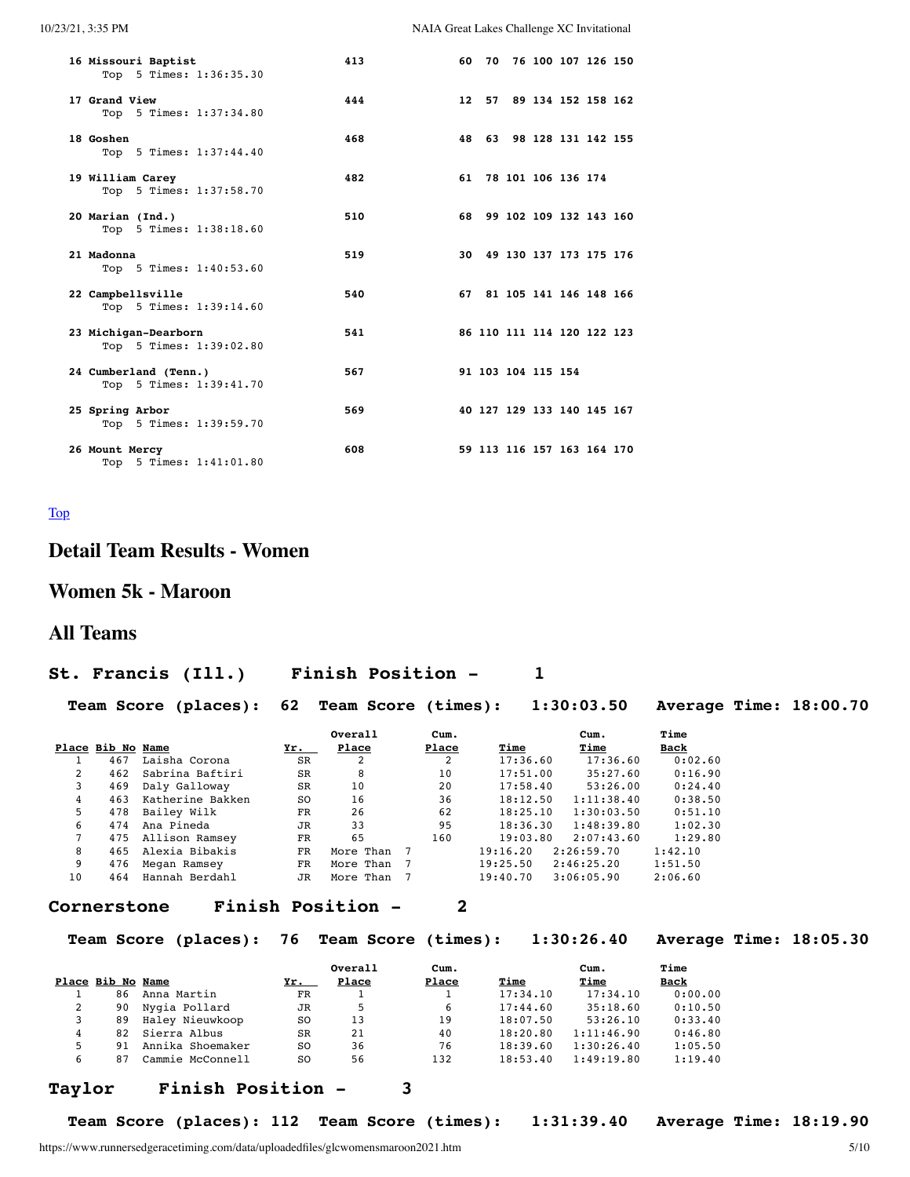| 10/23/21, 3:35 PM |  |
|-------------------|--|

NAIA Great Lakes Challenge XC Invitational

| 16 Missouri Baptist<br>Top 5 Times: 1:36:35.30   | 413 |  | 60 70 76 100 107 126 150   |  |  |
|--------------------------------------------------|-----|--|----------------------------|--|--|
| 17 Grand View<br>Top 5 Times: 1:37:34.80         | 444 |  | 12 57 89 134 152 158 162   |  |  |
| 18 Goshen<br>Top 5 Times: 1:37:44.40             | 468 |  | 48 63 98 128 131 142 155   |  |  |
| 19 William Carey<br>Top 5 Times: 1:37:58.70      | 482 |  | 61 78 101 106 136 174      |  |  |
| 20 Marian (Ind.)<br>Top 5 Times: 1:38:18.60      | 510 |  | 68 99 102 109 132 143 160  |  |  |
| 21 Madonna<br>Top 5 Times: 1:40:53.60            | 519 |  | 30 49 130 137 173 175 176  |  |  |
| 22 Campbellsville<br>Top 5 Times: 1:39:14.60     | 540 |  | 67 81 105 141 146 148 166  |  |  |
| 23 Michigan-Dearborn<br>Top 5 Times: 1:39:02.80  | 541 |  | 86 110 111 114 120 122 123 |  |  |
| 24 Cumberland (Tenn.)<br>Top 5 Times: 1:39:41.70 | 567 |  | 91 103 104 115 154         |  |  |
| 25 Spring Arbor<br>Top 5 Times: 1:39:59.70       | 569 |  | 40 127 129 133 140 145 167 |  |  |
| 26 Mount Mercy<br>Top 5 Times: 1:41:01.80        | 608 |  | 59 113 116 157 163 164 170 |  |  |

#### <span id="page-4-0"></span>[Top](#page-0-1)

# **Detail Team Results - Women**

# **Women 5k - Maroon**

## **All Teams**

### **St. Francis (Ill.) Finish Position - 1**

**Team Score (places): 62 Team Score (times): 1:30:03.50 Average Time: 18:00.70**

|    |                   |                  |               | Overall   | Cum.           |          | $_{\text{cum.}}$ | Time        |
|----|-------------------|------------------|---------------|-----------|----------------|----------|------------------|-------------|
|    | Place Bib No Name |                  | Yr.           | Place     | Place          | Time     | Time             | <b>Back</b> |
|    | 467               | Laisha Corona    | <b>SR</b>     | 2         |                | 17:36.60 | 17:36.60         | 0:02.60     |
| 2  | 462               | Sabrina Baftiri  | <b>SR</b>     | 8         | 10             | 17:51.00 | 35:27.60         | 0:16.90     |
|    | 469               | Daly Galloway    | <b>SR</b>     | 10        | 20             | 17:58.40 | 53:26.00         | 0:24.40     |
| 4  | 463               | Katherine Bakken | <sub>SO</sub> | 16        | 36             | 18:12.50 | 1:11:38.40       | 0:38.50     |
| 5. | 478               | Bailey Wilk      | FR            | 26        | 62             | 18:25.10 | 1:30:03.50       | 0:51.10     |
| 6  | 474               | Ana Pineda       | <b>JR</b>     | 33        | 95             | 18:36.30 | 1:48:39.80       | 1:02.30     |
|    | 475               | Allison Ramsey   | FR            | 65        | 160            | 19:03.80 | 2:07:43.60       | 1:29.80     |
| 8  | 465               | Alexia Bibakis   | FR            | More Than | $\overline{7}$ | 19:16.20 | 2:26:59.70       | 1:42.10     |
| 9  | 476               | Megan Ramsey     | <b>FR</b>     | More Than | $\overline{7}$ | 19:25.50 | 2:46:25.20       | 1:51.50     |
| 10 | 464               | Hannah Berdahl   | JR            | More Than |                | 19:40.70 | 3:06:05.90       | 2:06.60     |

#### **Cornerstone Finish Position - 2**

**Team Score (places): 76 Team Score (times): 1:30:26.40 Average Time: 18:05.30**

|   | Place Bib No Name |                  | Yr.       | Overall<br>Place | Cum.<br>Place | Time     | Cum.<br>Time | Time<br><b>Back</b> |
|---|-------------------|------------------|-----------|------------------|---------------|----------|--------------|---------------------|
|   | 86                | Anna Martin      | FR        |                  |               | 17:34.10 | 17:34.10     | 0:00.00             |
|   | 90                | Nygia Pollard    | JR        | 5                | 6             | 17:44.60 | 35:18.60     | 0:10.50             |
| 3 | 89                | Haley Nieuwkoop  | SO.       | 13               | 19            | 18:07.50 | 53:26.10     | 0:33.40             |
| 4 | 82                | Sierra Albus     | <b>SR</b> | 21               | 40            | 18:20.80 | 1:11:46.90   | 0:46.80             |
| 5 | 91                | Annika Shoemaker | SO.       | 36               | 76            | 18:39.60 | 1:30:26.40   | 1:05.50             |
| 6 | 87                | Cammie McConnell | S0        | 56               | 132           | 18:53.40 | 1:49:19.80   | 1:19.40             |

#### **Taylor Finish Position - 3**

**Team Score (places): 112 Team Score (times): 1:31:39.40 Average Time: 18:19.90**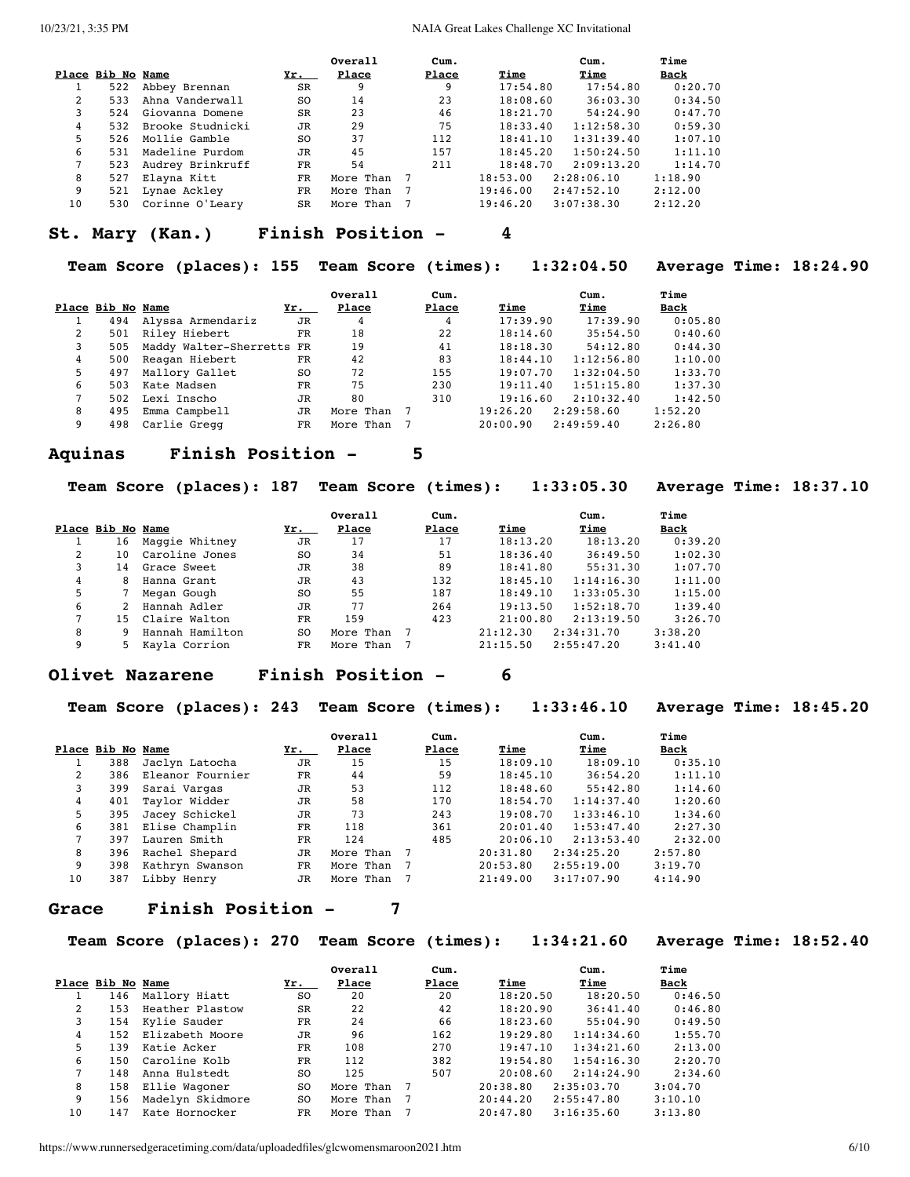|                |                   |                  |           | Overall   | Cum.  |          | Cum.       | Time        |
|----------------|-------------------|------------------|-----------|-----------|-------|----------|------------|-------------|
|                | Place Bib No Name |                  | Yr.       | Place     | Place | Time     | Time       | <u>Back</u> |
|                | 522               | Abbey Brennan    | SR        | 9         | 9     | 17:54.80 | 17:54.80   | 0:20.70     |
| $\mathfrak{D}$ | 533               | Ahna Vanderwall  | SO.       | 14        | 23    | 18:08.60 | 36:03.30   | 0:34.50     |
| 3              | 524               | Giovanna Domene  | <b>SR</b> | 23        | 46    | 18:21.70 | 54:24.90   | 0:47.70     |
| 4              | 532               | Brooke Studnicki | <b>JR</b> | 29        | 75    | 18:33.40 | 1:12:58.30 | 0:59.30     |
| 5              | 526               | Mollie Gamble    | SO.       | 37        | 112   | 18:41.10 | 1:31:39.40 | 1:07.10     |
| 6              | 531               | Madeline Purdom  | JR        | 45        | 157   | 18:45.20 | 1:50:24.50 | 1:11.10     |
|                | 523               | Audrey Brinkruff | FR        | 54        | 211   | 18:48.70 | 2:09:13.20 | 1:14.70     |
| 8              | 527               | Elayna Kitt      | FR        | More Than |       | 18:53.00 | 2:28:06.10 | 1:18.90     |
| 9              | 521               | Lynae Ackley     | FR.       | More Than |       | 19:46.00 | 2:47:52.10 | 2:12.00     |
| 10             | 530               | Corinne O'Leary  | <b>SR</b> | More Than |       | 19:46.20 | 3:07:38.30 | 2:12.20     |

#### **St. Mary (Kan.) Finish Position - 4**

**Team Score (places): 155 Team Score (times): 1:32:04.50 Average Time: 18:24.90**

|   |                   |                           |             | Overall   | Cum.  |          | Cum.       | Time        |
|---|-------------------|---------------------------|-------------|-----------|-------|----------|------------|-------------|
|   | Place Bib No Name |                           | Yr.         | Place     | Place | Time     | Time       | <b>Back</b> |
|   | 494               | Alyssa Armendariz         | <b>JR</b>   | 4         | 4     | 17:39.90 | 17:39.90   | 0:05.80     |
| 2 | 501               | Riley Hiebert             | $_{\rm FR}$ | 18        | 22    | 18:14.60 | 35:54.50   | 0:40.60     |
| 3 | 505               | Maddy Walter-Sherretts FR |             | 19        | 41    | 18:18.30 | 54:12.80   | 0:44.30     |
| 4 | 500               | Reagan Hiebert            | FR.         | 42        | 83    | 18:44.10 | 1:12:56.80 | 1:10.00     |
| 5 | 497               | Mallory Gallet            | SO.         | 72        | 155   | 19:07.70 | 1:32:04.50 | 1:33.70     |
| 6 | 503               | Kate Madsen               | FR          | 75        | 230   | 19:11.40 | 1:51:15.80 | 1:37.30     |
|   | 502               | Lexi Inscho               | <b>JR</b>   | 80        | 310   | 19:16.60 | 2:10:32.40 | 1:42.50     |
| 8 | 495               | Emma Campbell             | JR          | More Than |       | 19:26.20 | 2:29:58.60 | 1:52.20     |
| 9 | 498               | Carlie Gregg              | FR.         | More Than |       | 20:00.90 | 2:49:59.40 | 2:26.80     |

#### **Aquinas Finish Position - 5**

**Team Score (places): 187 Team Score (times): 1:33:05.30 Average Time: 18:37.10**

|   |                   |                 |           | Overall   | Cum.  |          | Cum.       | Time    |
|---|-------------------|-----------------|-----------|-----------|-------|----------|------------|---------|
|   | Place Bib No Name |                 | $Yr$ .    | Place     | Place | Time     | Time       | Back    |
|   | 16                | Maggie Whitney  | JR        | 17        | 17    | 18:13.20 | 18:13.20   | 0:39.20 |
| 2 | 10                | Caroline Jones  | SO.       | 34        | 51    | 18:36.40 | 36:49.50   | 1:02.30 |
| 3 | 14                | Grace Sweet     | JR        | 38        | 89    | 18:41.80 | 55:31.30   | 1:07.70 |
| 4 | 8                 | Hanna Grant     | JR        | 43        | 132   | 18:45.10 | 1:14:16.30 | 1:11.00 |
| 5 |                   | Megan Gough     | SO.       | 55        | 187   | 18:49.10 | 1:33:05.30 | 1:15.00 |
| 6 |                   | Hannah Adler    | <b>JR</b> | 77        | 264   | 19:13.50 | 1:52:18.70 | 1:39.40 |
|   | 15                | Claire Walton   | FR        | 159       | 423   | 21:00.80 | 2:13:19.50 | 3:26.70 |
| 8 |                   | Hannah Hamilton | SO.       | More Than |       | 21:12.30 | 2:34:31.70 | 3:38.20 |
| 9 | 5.                | Kavla Corrion   | FR.       | More Than |       | 21:15.50 | 2:55:47.20 | 3:41.40 |

#### **Olivet Nazarene Finish Position - 6**

**Team Score (places): 243 Team Score (times): 1:33:46.10 Average Time: 18:45.20**

|    |                   |                  |           | Overall   | Cum.           |          | Cum.       | Time        |
|----|-------------------|------------------|-----------|-----------|----------------|----------|------------|-------------|
|    | Place Bib No Name |                  | Yr.       | Place     | Place          | Time     | Time       | <u>Back</u> |
|    | 388               | Jaclyn Latocha   | JR        | 15        | 15             | 18:09.10 | 18:09.10   | 0:35.10     |
| 2  | 386               | Eleanor Fournier | <b>FR</b> | 44        | 59             | 18:45.10 | 36:54.20   | 1:11.10     |
| 3  | 399               | Sarai Vargas     | JR        | 53        | 112            | 18:48.60 | 55:42.80   | 1:14.60     |
| 4  | 401               | Taylor Widder    | JR        | 58        | 170            | 18:54.70 | 1:14:37.40 | 1:20.60     |
| 5. | 395               | Jacey Schickel   | JR        | 73        | 243            | 19:08.70 | 1:33:46.10 | 1:34.60     |
| 6  | 381               | Elise Champlin   | FR        | 118       | 361            | 20:01.40 | 1:53:47.40 | 2:27.30     |
|    | 397               | Lauren Smith     | <b>FR</b> | 124       | 485            | 20:06.10 | 2:13:53.40 | 2:32.00     |
| 8  | 396               | Rachel Shepard   | JR        | More Than | $\overline{7}$ | 20:31.80 | 2:34:25.20 | 2:57.80     |
| 9  | 398               | Kathryn Swanson  | FR        | More Than | - 7            | 20:53.80 | 2:55:19.00 | 3:19.70     |
| 10 | 387               | Libby Henry      | JR        | More Than |                | 21:49.00 | 3:17:07.90 | 4:14.90     |

#### **Grace Finish Position - 7**

**Team Score (places): 270 Team Score (times): 1:34:21.60 Average Time: 18:52.40**

|             |                   |                  |                | Overall   | Cum.  |          | Cum.       | Time    |
|-------------|-------------------|------------------|----------------|-----------|-------|----------|------------|---------|
|             | Place Bib No Name |                  | Yr.            | Place     | Place | Time     | Time       | Back    |
|             | 146               | Mallory Hiatt    | SO.            | 20        | 20    | 18:20.50 | 18:20.50   | 0:46.50 |
| $2^{\circ}$ | 153               | Heather Plastow  | <b>SR</b>      | 22        | 42    | 18:20.90 | 36:41.40   | 0:46.80 |
|             | 154               | Kylie Sauder     | FR             | 24        | 66    | 18:23.60 | 55:04.90   | 0:49.50 |
| 4           | 152               | Elizabeth Moore  | JR             | 96        | 162   | 19:29.80 | 1:14:34.60 | 1:55.70 |
| 5.          | 139               | Katie Acker      | FR             | 108       | 270   | 19:47.10 | 1:34:21.60 | 2:13.00 |
| 6           | 150               | Caroline Kolb    | FR             | 112       | 382   | 19:54.80 | 1:54:16.30 | 2:20.70 |
|             | 148               | Anna Hulstedt    | S <sub>O</sub> | 125       | 507   | 20:08.60 | 2:14:24.90 | 2:34.60 |
| 8           | 158               | Ellie Wagoner    | S <sub>O</sub> | More Than |       | 20:38.80 | 2:35:03.70 | 3:04.70 |
| 9           | 156               | Madelyn Skidmore | S0             | More Than |       | 20:44.20 | 2:55:47.80 | 3:10.10 |
| 10          | 147               | Kate Hornocker   | FR             | More Than |       | 20:47.80 | 3:16:35.60 | 3:13.80 |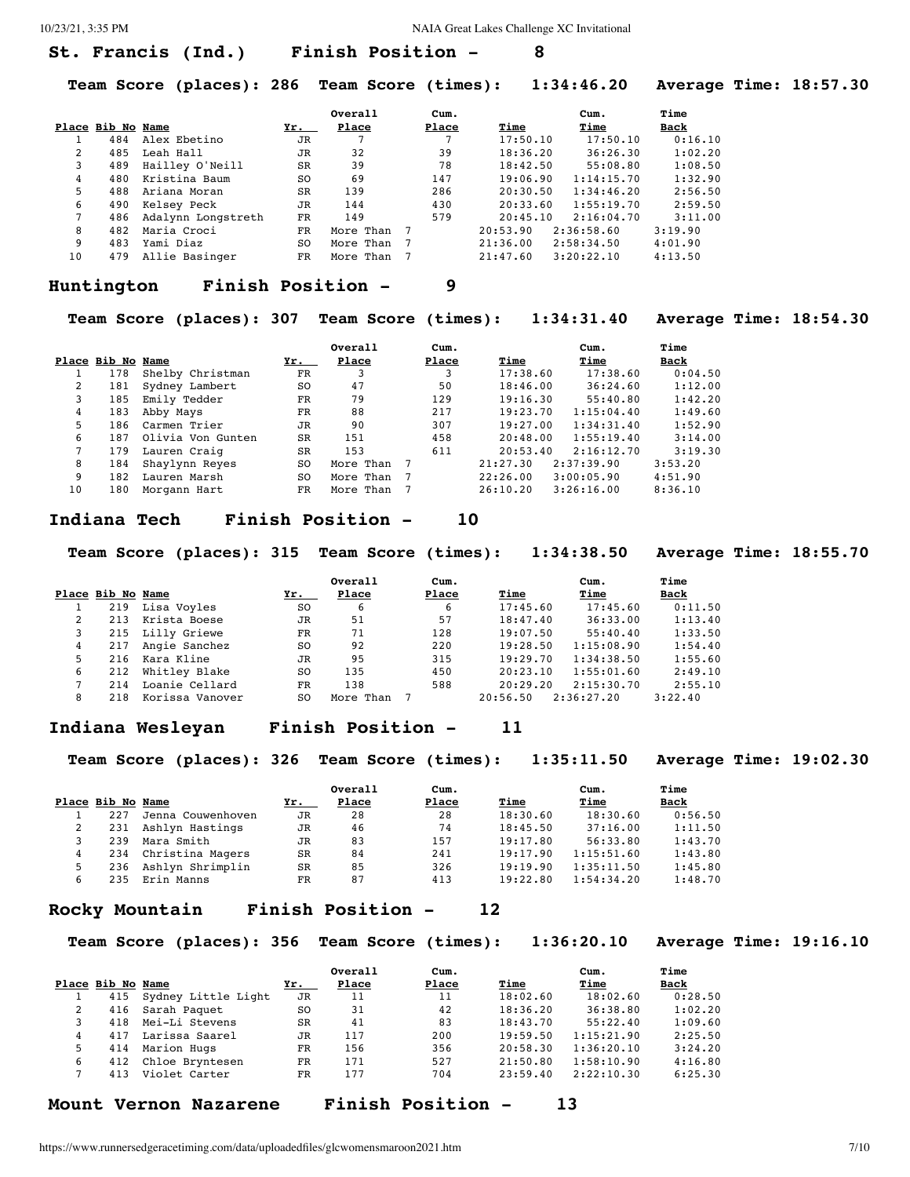#### **St. Francis (Ind.) Finish Position - 8**

**Team Score (places): 286 Team Score (times): 1:34:46.20 Average Time: 18:57.30**

|    |                   |                    |           | Overall   | Cum.  |          | Cum.       | Time        |
|----|-------------------|--------------------|-----------|-----------|-------|----------|------------|-------------|
|    | Place Bib No Name |                    | Yr.       | Place     | Place | Time     | Time       | <u>Back</u> |
|    | 484               | Alex Ebetino       | <b>JR</b> |           |       | 17:50.10 | 17:50.10   | 0:16.10     |
| 2  | 485               | Leah Hall          | JR        | 32        | 39    | 18:36.20 | 36:26.30   | 1:02.20     |
| 3  | 489               | Hailley O'Neill    | SR        | 39        | 78    | 18:42.50 | 55:08.80   | 1:08.50     |
| 4  | 480               | Kristina Baum      | SO.       | 69        | 147   | 19:06.90 | 1:14:15.70 | 1:32.90     |
| 5  | 488               | Ariana Moran       | <b>SR</b> | 139       | 286   | 20:30.50 | 1:34:46.20 | 2:56.50     |
| 6  | 490               | Kelsey Peck        | JR        | 144       | 430   | 20:33.60 | 1:55:19.70 | 2:59.50     |
|    | 486               | Adalynn Longstreth | FR        | 149       | 579   | 20:45.10 | 2:16:04.70 | 3:11.00     |
| 8  | 482               | Maria Croci        | FR        | More Than |       | 20:53.90 | 2:36:58.60 | 3:19.90     |
| 9  | 483               | Yami Diaz          | SO.       | More Than |       | 21:36.00 | 2:58:34.50 | 4:01.90     |
| 10 | 479               | Allie Basinger     | FR.       | More Than |       | 21:47.60 | 3:20:22.10 | 4:13.50     |

#### **Huntington Finish Position - 9**

**Team Score (places): 307 Team Score (times): 1:34:31.40 Average Time: 18:54.30**

|    |                   |                   |           | Overall   | Cum.  |          | Cum.       | Time    |
|----|-------------------|-------------------|-----------|-----------|-------|----------|------------|---------|
|    | Place Bib No Name |                   | Yr.       | Place     | Place | Time     | Time       | Back    |
|    | 178               | Shelby Christman  | FR        | 3         | 3     | 17:38.60 | 17:38.60   | 0:04.50 |
| 2  | 181               | Sydney Lambert    | SO.       | 47        | 50    | 18:46.00 | 36:24.60   | 1:12.00 |
| 3  | 185               | Emily Tedder      | FR        | 79        | 129   | 19:16.30 | 55:40.80   | 1:42.20 |
| 4  | 183               | Abby Mays         | FR        | 88        | 217   | 19:23.70 | 1:15:04.40 | 1:49.60 |
| 5  | 186               | Carmen Trier      | JR        | 90        | 307   | 19:27.00 | 1:34:31.40 | 1:52.90 |
| 6  | 187               | Olivia Von Gunten | <b>SR</b> | 151       | 458   | 20:48.00 | 1:55:19.40 | 3:14.00 |
|    | 179               | Lauren Craig      | SR        | 153       | 611   | 20:53.40 | 2:16:12.70 | 3:19.30 |
| 8  | 184               | Shaylynn Reyes    | SO.       | More Than |       | 21:27.30 | 2:37:39.90 | 3:53.20 |
| 9  | 182               | Lauren Marsh      | SO.       | More Than |       | 22:26.00 | 3:00:05.90 | 4:51.90 |
| 10 | 180               | Morgann Hart      | FR.       | More Than |       | 26:10.20 | 3:26:16.00 | 8:36.10 |

#### **Indiana Tech Finish Position - 10**

**Team Score (places): 315 Team Score (times): 1:34:38.50 Average Time: 18:55.70**

|                   |     |                  |                | Overall   | Cum.  |          | Cum.       | Time    |
|-------------------|-----|------------------|----------------|-----------|-------|----------|------------|---------|
| Place Bib No Name |     |                  | Yr.            | Place     | Place | Time     | Time       | Back    |
|                   | 219 | Lisa Voyles      | SO.            | 6         | 6     | 17:45.60 | 17:45.60   | 0:11.50 |
|                   | 213 | Krista Boese     | JR             | 51        | 57    | 18:47.40 | 36:33.00   | 1:13.40 |
|                   |     | 215 Lilly Griewe | FR             | 71        | 128   | 19:07.50 | 55:40.40   | 1:33.50 |
| 4                 | 217 | Angie Sanchez    | SO.            | 92        | 220   | 19:28.50 | 1:15:08.90 | 1:54.40 |
| 5.                | 216 | Kara Kline       | <b>JR</b>      | 95        | 315   | 19:29.70 | 1:34:38.50 | 1:55.60 |
| 6                 | 212 | Whitley Blake    | SO.            | 135       | 450   | 20:23.10 | 1:55:01.60 | 2:49.10 |
|                   | 214 | Loanie Cellard   | FR             | 138       | 588   | 20:29.20 | 2:15:30.70 | 2:55.10 |
| 8                 | 218 | Korissa Vanover  | S <sub>O</sub> | More Than |       | 20:56.50 | 2:36:27.20 | 3:22.40 |

#### **Indiana Wesleyan Finish Position - 11**

**Team Score (places): 326 Team Score (times): 1:35:11.50 Average Time: 19:02.30**

|   |                   |                   |           | Overall | Cum.  |          | Cum.       | Time    |
|---|-------------------|-------------------|-----------|---------|-------|----------|------------|---------|
|   | Place Bib No Name |                   | Yr.       | Place   | Place | Time     | Time       | Back    |
|   | 227               | Jenna Couwenhoven | <b>JR</b> | 28      | 28    | 18:30.60 | 18:30.60   | 0:56.50 |
|   | 231               | Ashlyn Hastings   | JR        | 46      | 74    | 18:45.50 | 37:16.00   | 1:11.50 |
|   | 239               | Mara Smith        | <b>JR</b> | 83      | 157   | 19:17.80 | 56:33.80   | 1:43.70 |
|   | 234               | Christina Magers  | <b>SR</b> | 84      | 241   | 19:17.90 | 1:15:51.60 | 1:43.80 |
|   | 236               | Ashlyn Shrimplin  | <b>SR</b> | 85      | 326   | 19:19.90 | 1:35:11.50 | 1:45.80 |
| 6 | 235               | Erin Manns        | FR        | 87      | 413   | 19:22.80 | 1:54:34.20 | 1:48.70 |

#### **Rocky Mountain Finish Position - 12**

**Team Score (places): 356 Team Score (times): 1:36:20.10 Average Time: 19:16.10**

|   |                   |                     |           | Overall | Cum.  |          | Cum.       | Time    |
|---|-------------------|---------------------|-----------|---------|-------|----------|------------|---------|
|   | Place Bib No Name |                     | Yr.       | Place   | Place | Time     | Time       | Back    |
|   | 415               | Sydney Little Light | JR        | 11      | 11    | 18:02.60 | 18:02.60   | 0:28.50 |
|   | 416               | Sarah Paquet        | SO.       | 31      | 42    | 18:36.20 | 36:38.80   | 1:02.20 |
|   | 418               | Mei-Li Stevens      | <b>SR</b> | 41      | 83    | 18:43.70 | 55:22.40   | 1:09.60 |
|   | 417               | Larissa Saarel      | <b>JR</b> | 117     | 200   | 19:59.50 | 1:15:21.90 | 2:25.50 |
| 5 | 414               | Marion Hugs         | FR        | 156     | 356   | 20:58.30 | 1:36:20.10 | 3:24.20 |
| 6 | 412               | Chloe Bryntesen     | FR        | 171     | 527   | 21:50.80 | 1:58:10.90 | 4:16.80 |
|   | 413               | Violet Carter       | FR        | 177     | 704   | 23:59.40 | 2:22:10.30 | 6:25.30 |

```
Mount Vernon Nazarene Finish Position - 13
```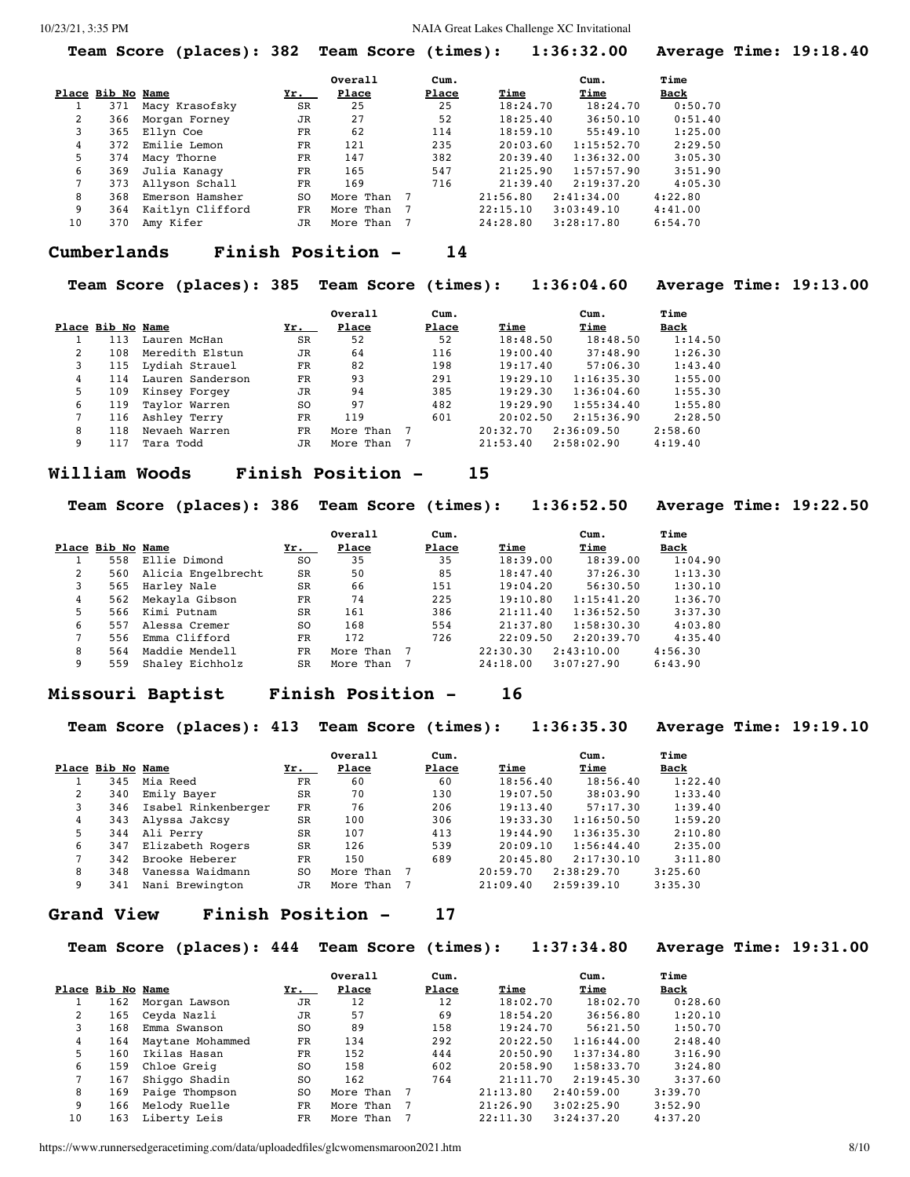|    |                   | Team Score (places): 382 Team Score (times): |               |             |       |             | 1:36:32.00  |         | Average Time: 19:18.40 |
|----|-------------------|----------------------------------------------|---------------|-------------|-------|-------------|-------------|---------|------------------------|
|    |                   |                                              |               | Overall     | Cum.  |             | Cum.        | Time    |                        |
|    | Place Bib No Name |                                              | <u>Yr. yr</u> | Place       | Place | <u>Time</u> | <u>Time</u> | Back    |                        |
|    | 371               | Macy Krasofsky                               | SR            | 25          | 25    | 18:24.70    | 18:24.70    | 0:50.70 |                        |
| 2  | 366               | Morgan Forney                                | JR            | 27          | 52    | 18:25.40    | 36:50.10    | 0:51.40 |                        |
| 3  |                   | 365 Ellyn Coe                                | $_{\rm FR}$   | 62          | 114   | 18:59.10    | 55:49.10    | 1:25.00 |                        |
| 4  | 372               | Emilie Lemon                                 | FR            | 121         | 235   | 20:03.60    | 1:15:52.70  | 2:29.50 |                        |
| 5  | 374               | Macy Thorne                                  | $_{\rm FR}$   | 147         | 382   | 20:39.40    | 1:36:32.00  | 3:05.30 |                        |
| 6  | 369               | Julia Kanagy                                 | FR            | 165         | 547   | 21:25.90    | 1:57:57.90  | 3:51.90 |                        |
| 7  | 373               | Allyson Schall                               | FR            | 169         | 716   | 21:39.40    | 2:19:37.20  | 4:05.30 |                        |
| 8  | 368               | Emerson Hamsher                              | SO.           | More Than 7 |       | 21:56.80    | 2:41:34.00  | 4:22.80 |                        |
| 9  | 364               | Kaitlyn Clifford                             | FR            | More Than 7 |       | 22:15.10    | 3:03:49.10  | 4:41.00 |                        |
| 10 | 370               | Amy Kifer                                    | JR            | More Than 7 |       | 24:28.80    | 3:28:17.80  | 6:54.70 |                        |

#### **Cumberlands Finish Position - 14**

**Team Score (places): 385 Team Score (times): 1:36:04.60 Average Time: 19:13.00**

|    |                   |                  |           | Overall   | Cum.  |          | Cum.       | Time    |
|----|-------------------|------------------|-----------|-----------|-------|----------|------------|---------|
|    | Place Bib No Name |                  | Yr.       | Place     | Place | Time     | Time       | Back    |
|    | 113               | Lauren McHan     | SR        | 52        | 52    | 18:48.50 | 18:48.50   | 1:14.50 |
| 2  | 108               | Meredith Elstun  | JR        | 64        | 116   | 19:00.40 | 37:48.90   | 1:26.30 |
| 3  | 115               | Lydiah Strauel   | FR        | 82        | 198   | 19:17.40 | 57:06.30   | 1:43.40 |
| 4  | 114               | Lauren Sanderson | FR        | 93        | 291   | 19:29.10 | 1:16:35.30 | 1:55.00 |
| 5. | 109               | Kinsey Forgey    | <b>JR</b> | 94        | 385   | 19:29.30 | 1:36:04.60 | 1:55.30 |
| 6  | 119               | Taylor Warren    | SO.       | 97        | 482   | 19:29.90 | 1:55:34.40 | 1:55.80 |
|    | 116               | Ashley Terry     | FR        | 119       | 601   | 20:02.50 | 2:15:36.90 | 2:28.50 |
| 8  | 118               | Nevaeh Warren    | FR        | More Than |       | 20:32.70 | 2:36:09.50 | 2:58.60 |
| 9  | 117               | Tara Todd        | JR        | More Than |       | 21:53.40 | 2:58:02.90 | 4:19.40 |

#### **William Woods Finish Position - 15**

**Team Score (places): 386 Team Score (times): 1:36:52.50 Average Time: 19:22.50**

|   |                   |                    |     | Overall   | Cum.  |          | Cum.       | Time    |
|---|-------------------|--------------------|-----|-----------|-------|----------|------------|---------|
|   | Place Bib No Name |                    | Yr. | Place     | Place | Time     | Time       | Back    |
|   | 558               | Ellie Dimond       | SO. | 35        | 35    | 18:39.00 | 18:39.00   | 1:04.90 |
| 2 | 560               | Alicia Engelbrecht | SR  | 50        | 85    | 18:47.40 | 37:26.30   | 1:13.30 |
| 3 | 565               | Harley Nale        | SR  | 66        | 151   | 19:04.20 | 56:30.50   | 1:30.10 |
| 4 | 562               | Mekayla Gibson     | FR  | 74        | 225   | 19:10.80 | 1:15:41.20 | 1:36.70 |
| 5 | 566               | Kimi Putnam        | SR  | 161       | 386   | 21:11.40 | 1:36:52.50 | 3:37.30 |
| 6 | 557               | Alessa Cremer      | SO. | 168       | 554   | 21:37.80 | 1:58:30.30 | 4:03.80 |
|   | 556               | Emma Clifford      | FR  | 172       | 726   | 22:09.50 | 2:20:39.70 | 4:35.40 |
| 8 | 564               | Maddie Mendell     | FR  | More Than | 7     | 22:30.30 | 2:43:10.00 | 4:56.30 |
| 9 | 559               | Shaley Eichholz    | SR  | More Than |       | 24:18.00 | 3:07:27.90 | 6:43.90 |

#### **Missouri Baptist Finish Position - 16**

**Team Score (places): 413 Team Score (times): 1:36:35.30 Average Time: 19:19.10**

|    |                   |                     |           | Overall   | Cum.  |          | Cum.       | Time        |
|----|-------------------|---------------------|-----------|-----------|-------|----------|------------|-------------|
|    | Place Bib No Name |                     | Yr.       | Place     | Place | Time     | Time       | <u>Back</u> |
|    | 345               | Mia Reed            | FR        | 60        | 60    | 18:56.40 | 18:56.40   | 1:22.40     |
| 2  | 340               | Emily Bayer         | <b>SR</b> | 70        | 130   | 19:07.50 | 38:03.90   | 1:33.40     |
| 3  | 346               | Isabel Rinkenberger | FR        | 76        | 206   | 19:13.40 | 57:17.30   | 1:39.40     |
| 4  | 343               | Alyssa Jakcsy       | <b>SR</b> | 100       | 306   | 19:33.30 | 1:16:50.50 | 1:59.20     |
| 5. | 344               | Ali Perry           | SR        | 107       | 413   | 19:44.90 | 1:36:35.30 | 2:10.80     |
| 6  | 347               | Elizabeth Rogers    | <b>SR</b> | 126       | 539   | 20:09.10 | 1:56:44.40 | 2:35.00     |
|    | 342               | Brooke Heberer      | FR        | 150       | 689   | 20:45.80 | 2:17:30.10 | 3:11.80     |
| 8  | 348               | Vanessa Waidmann    | SO.       | More Than |       | 20:59.70 | 2:38:29.70 | 3:25.60     |
| 9  | 341               | Nani Brewington     | JR        | More Than |       | 21:09.40 | 2:59:39.10 | 3:35.30     |

#### **Grand View Finish Position - 17**

**Team Score (places): 444 Team Score (times): 1:37:34.80 Average Time: 19:31.00**

|    |                   |                  |                | Overall   | Cum.  |          | Cum.       | Time    |
|----|-------------------|------------------|----------------|-----------|-------|----------|------------|---------|
|    | Place Bib No Name |                  | Yr.            | Place     | Place | Time     | Time       | Back    |
|    | 162               | Morgan Lawson    | JR             | 12        | 12    | 18:02.70 | 18:02.70   | 0:28.60 |
| 2  | 165               | Ceyda Nazli      | JR             | 57        | 69    | 18:54.20 | 36:56.80   | 1:20.10 |
|    | 168               | Emma Swanson     | S0             | 89        | 158   | 19:24.70 | 56:21.50   | 1:50.70 |
| 4  | 164               | Maytane Mohammed | FR             | 134       | 292   | 20:22.50 | 1:16:44.00 | 2:48.40 |
| 5. | 160               | Ikilas Hasan     | FR             | 152       | 444   | 20:50.90 | 1:37:34.80 | 3:16.90 |
| 6  | 159               | Chloe Greig      | SO.            | 158       | 602   | 20:58.90 | 1:58:33.70 | 3:24.80 |
|    | 167               | Shiqqo Shadin    | S <sub>O</sub> | 162       | 764   | 21:11.70 | 2:19:45.30 | 3:37.60 |
| 8  | 169               | Paige Thompson   | SO.            | More Than |       | 21:13.80 | 2:40:59.00 | 3:39.70 |
| 9  | 166               | Melody Ruelle    | FR             | More Than |       | 21:26.90 | 3:02:25.90 | 3:52.90 |
| 10 | 163               | Liberty Leis     | FR             | More Than |       | 22:11.30 | 3:24:37.20 | 4:37.20 |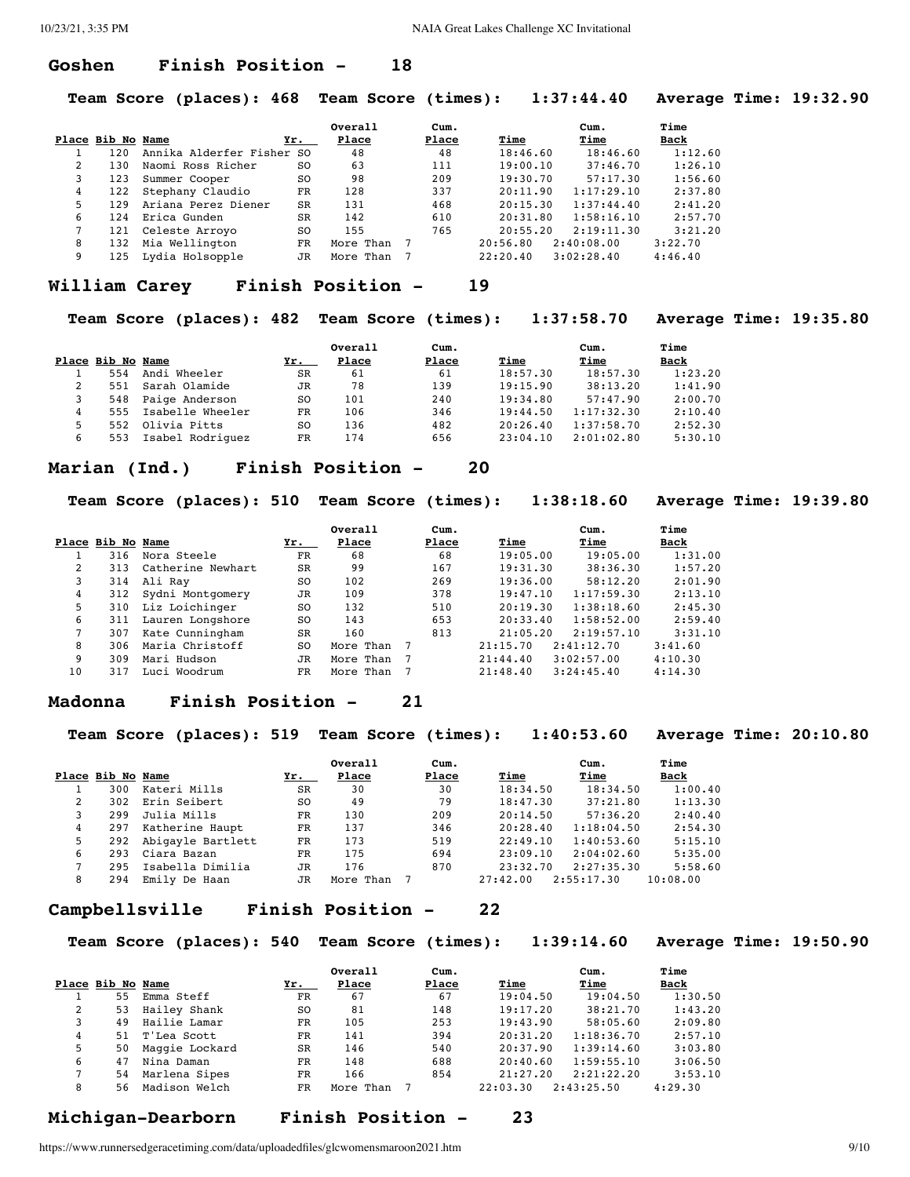#### **Goshen Finish Position - 18**

**Team Score (places): 468 Team Score (times): 1:37:44.40 Average Time: 19:32.90**

|               |                   |                           |           | Overall   | Cum.  |          | Cum.       | Time    |
|---------------|-------------------|---------------------------|-----------|-----------|-------|----------|------------|---------|
|               | Place Bib No Name |                           | Yr.       | Place     | Place | Time     | Time       | Back    |
|               | 120               | Annika Alderfer Fisher SO |           | 48        | 48    | 18:46.60 | 18:46.60   | 1:12.60 |
| $\mathcal{L}$ | 130               | Naomi Ross Richer         | SO.       | 63        | 111   | 19:00.10 | 37:46.70   | 1:26.10 |
|               | 123               | Summer Cooper             | SO.       | 98        | 209   | 19:30.70 | 57:17.30   | 1:56.60 |
| 4             | 122               | Stephany Claudio          | FR        | 128       | 337   | 20:11.90 | 1:17:29.10 | 2:37.80 |
| 5.            | 129               | Ariana Perez Diener       | <b>SR</b> | 131       | 468   | 20:15.30 | 1:37:44.40 | 2:41.20 |
| 6             | 124               | Erica Gunden              | <b>SR</b> | 142       | 610   | 20:31.80 | 1:58:16.10 | 2:57.70 |
|               | 121               | Celeste Arroyo            | SO.       | 155       | 765   | 20:55.20 | 2:19:11.30 | 3:21.20 |
| 8             | 132               | Mia Wellington            | FR.       | More Than |       | 20:56.80 | 2:40:08.00 | 3:22.70 |
| 9             | 125               | Lydia Holsopple           | JR        | More Than |       | 22:20.40 | 3:02:28.40 | 4:46.40 |

#### **William Carey Finish Position - 19**

**Team Score (places): 482 Team Score (times): 1:37:58.70 Average Time: 19:35.80**

|    |                   |                      |                | Overall | Cum.  |          | Cum.       | Time        |
|----|-------------------|----------------------|----------------|---------|-------|----------|------------|-------------|
|    | Place Bib No Name |                      | Yr.            | Place   | Place | Time     | Time       | <b>Back</b> |
|    | 554               | Andi Wheeler         | SR             | 61      | 61    | 18:57.30 | 18:57.30   | 1:23.20     |
|    |                   | 551 Sarah Olamide    | <b>JR</b>      | 78      | 139   | 19:15.90 | 38:13.20   | 1:41.90     |
|    |                   | 548 Paige Anderson   | SO.            | 101     | 240   | 19:34.80 | 57:47.90   | 2:00.70     |
|    |                   | 555 Isabelle Wheeler | FR             | 106     | 346   | 19:44.50 | 1:17:32.30 | 2:10.40     |
| 5. | 552               | Olivia Pitts         | S <sub>O</sub> | 136     | 482   | 20:26.40 | 1:37:58.70 | 2:52.30     |
| 6  | 553               | Isabel Rodriquez     | FR             | 174     | 656   | 23:04.10 | 2:01:02.80 | 5:30.10     |

#### **Marian (Ind.) Finish Position - 20**

**Team Score (places): 510 Team Score (times): 1:38:18.60 Average Time: 19:39.80**

|    |                   |                   |           | Overall   | Cum.  |          | Cum.       | Time    |
|----|-------------------|-------------------|-----------|-----------|-------|----------|------------|---------|
|    | Place Bib No Name |                   | Yr.       | Place     | Place | Time     | Time       | Back    |
|    | 316               | Nora Steele       | FR        | 68        | 68    | 19:05.00 | 19:05.00   | 1:31.00 |
| 2  | 313               | Catherine Newhart | SR        | 99        | 167   | 19:31.30 | 38:36.30   | 1:57.20 |
| 3  | 314               | Ali Ray           | SO.       | 102       | 269   | 19:36.00 | 58:12.20   | 2:01.90 |
| 4  | 312               | Sydni Montgomery  | <b>JR</b> | 109       | 378   | 19:47.10 | 1:17:59.30 | 2:13.10 |
| 5. | 310               | Liz Loichinger    | SO.       | 132       | 510   | 20:19.30 | 1:38:18.60 | 2:45.30 |
| 6  | 311               | Lauren Longshore  | SO.       | 143       | 653   | 20:33.40 | 1:58:52.00 | 2:59.40 |
|    | 307               | Kate Cunningham   | <b>SR</b> | 160       | 813   | 21:05.20 | 2:19:57.10 | 3:31.10 |
| 8  | 306               | Maria Christoff   | SO.       | More Than |       | 21:15.70 | 2:41:12.70 | 3:41.60 |
| 9  | 309               | Mari Hudson       | JR        | More Than | -7    | 21:44.40 | 3:02:57.00 | 4:10.30 |
| 10 | 317               | Luci Woodrum      | FR        | More Than |       | 21:48.40 | 3:24:45.40 | 4:14.30 |

#### **Madonna Finish Position - 21**

**Team Score (places): 519 Team Score (times): 1:40:53.60 Average Time: 20:10.80**

|   |                   |                   |           | Overall   | Cum.  |          | Cum.       | Time     |
|---|-------------------|-------------------|-----------|-----------|-------|----------|------------|----------|
|   | Place Bib No Name |                   | Yr.       | Place     | Place | Time     | Time       | Back     |
|   | 300               | Kateri Mills      | SR        | 30        | 30    | 18:34.50 | 18:34.50   | 1:00.40  |
| 2 | 302               | Erin Seibert      | SO.       | 49        | 79    | 18:47.30 | 37:21.80   | 1:13.30  |
|   | 299               | Julia Mills       | FR        | 130       | 209   | 20:14.50 | 57:36.20   | 2:40.40  |
| 4 | 297               | Katherine Haupt   | FR        | 137       | 346   | 20:28.40 | 1:18:04.50 | 2:54.30  |
| 5 | 292               | Abigayle Bartlett | FR        | 173       | 519   | 22:49.10 | 1:40:53.60 | 5:15.10  |
| 6 | 293               | Ciara Bazan       | FR        | 175       | 694   | 23:09.10 | 2:04:02.60 | 5:35.00  |
|   | 295               | Isabella Dimilia  | <b>JR</b> | 176       | 870   | 23:32.70 | 2:27:35.30 | 5:58.60  |
| 8 | 294               | Emily De Haan     | JR        | More Than |       | 27:42.00 | 2:55:17.30 | 10:08.00 |

#### **Campbellsville Finish Position - 22**

**Team Score (places): 540 Team Score (times): 1:39:14.60 Average Time: 19:50.90**

|   |                   |                |           | Overall   | Cum.  |          | Cum.       | Time    |
|---|-------------------|----------------|-----------|-----------|-------|----------|------------|---------|
|   | Place Bib No Name |                | Yr.       | Place     | Place | Time     | Time       | Back    |
|   | 55                | Emma Steff     | FR        | 67        | 67    | 19:04.50 | 19:04.50   | 1:30.50 |
| 2 | 53                | Hailey Shank   | SO.       | 81        | 148   | 19:17.20 | 38:21.70   | 1:43.20 |
| 3 | 49                | Hailie Lamar   | FR        | 105       | 253   | 19:43.90 | 58:05.60   | 2:09.80 |
| 4 |                   | 51 T'Lea Scott | FR        | 141       | 394   | 20:31.20 | 1:18:36.70 | 2:57.10 |
| 5 | 50                | Maggie Lockard | <b>SR</b> | 146       | 540   | 20:37.90 | 1:39:14.60 | 3:03.80 |
| 6 | 47                | Nina Daman     | FR        | 148       | 688   | 20:40.60 | 1:59:55.10 | 3:06.50 |
|   | 54                | Marlena Sipes  | FR        | 166       | 854   | 21:27.20 | 2:21:22.20 | 3:53.10 |
| 8 | 56                | Madison Welch  | FR        | More Than |       | 22:03.30 | 2:43:25.50 | 4:29.30 |

#### **Michigan-Dearborn Finish Position - 23**